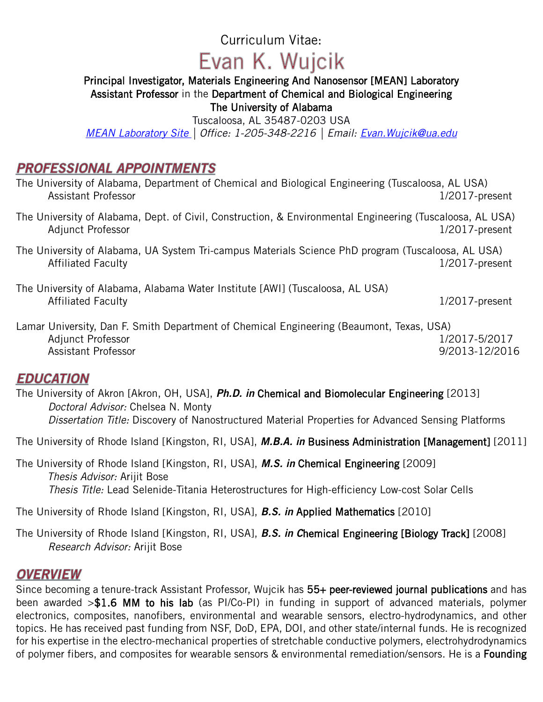## Curriculum Vitae:

# Evan K. Wujcik

## Principal Investigator, Materials Engineering And Nanosensor [MEAN] Laboratory Assistant Professor in the Department of Chemical and Biological Engineering

The University of Alabama

Tuscaloosa, AL 35487-0203 USA

*[MEAN Laboratory Site](http://www.meanlaboratory.com/) | Office: 1-205-348-2216 | Email: [Evan.Wujcik@ua.edu](mailto:Evan.Wujcik@ua.edu)*

## **PROFESSIONAL APPOINTMENTS**

| The University of Alabama, Department of Chemical and Biological Engineering (Tuscaloosa, AL USA)<br><b>Assistant Professor</b> | $1/2017$ -present |
|---------------------------------------------------------------------------------------------------------------------------------|-------------------|
| The University of Alabama, Dept. of Civil, Construction, & Environmental Engineering (Tuscaloosa, AL USA)<br>Adjunct Professor  | $1/2017$ -present |
| The University of Alabama, UA System Tri-campus Materials Science PhD program (Tuscaloosa, AL USA)<br><b>Affiliated Faculty</b> | $1/2017$ -present |
| The University of Alabama, Alabama Water Institute [AWI] (Tuscaloosa, AL USA)<br><b>Affiliated Faculty</b>                      | $1/2017$ -present |

Lamar University, Dan F. Smith Department of Chemical Engineering (Beaumont, Texas, USA) Adjunct Professor 2017 1/2017-5/2017 Assistant Professor **9/2013-12/2016** 

## **EDUCATION**

The University of Akron [Akron, OH, USA], *Ph.D. in* Chemical and Biomolecular Engineering [2013] *Doctoral Advisor:* Chelsea N. Monty *Dissertation Title:* Discovery of Nanostructured Material Properties for Advanced Sensing Platforms

The University of Rhode Island [Kingston, RI, USA], *M.B.A. in* Business Administration [Management] [2011]

The University of Rhode Island [Kingston, RI, USA], *M.S. in* Chemical Engineering [2009] *Thesis Advisor:* Arijit Bose *Thesis Title:* Lead Selenide-Titania Heterostructures for High-efficiency Low-cost Solar Cells

The University of Rhode Island [Kingston, RI, USA], *B.S. in* Applied Mathematics [2010]

The University of Rhode Island [Kingston, RI, USA], *B.S. in C*hemical Engineering [Biology Track] [2008] *Research Advisor:* Arijit Bose

## **OVERVIEW**

Since becoming a tenure-track Assistant Professor, Wujcik has 55+ peer-reviewed journal publications and has been awarded >\$1.6 MM to his lab (as PI/Co-PI) in funding in support of advanced materials, polymer electronics, composites, nanofibers, environmental and wearable sensors, electro-hydrodynamics, and other topics. He has received past funding from NSF, DoD, EPA, DOI, and other state/internal funds. He is recognized for his expertise in the electro-mechanical properties of stretchable conductive polymers, electrohydrodynamics of polymer fibers, and composites for wearable sensors & environmental remediation/sensors. He is a Founding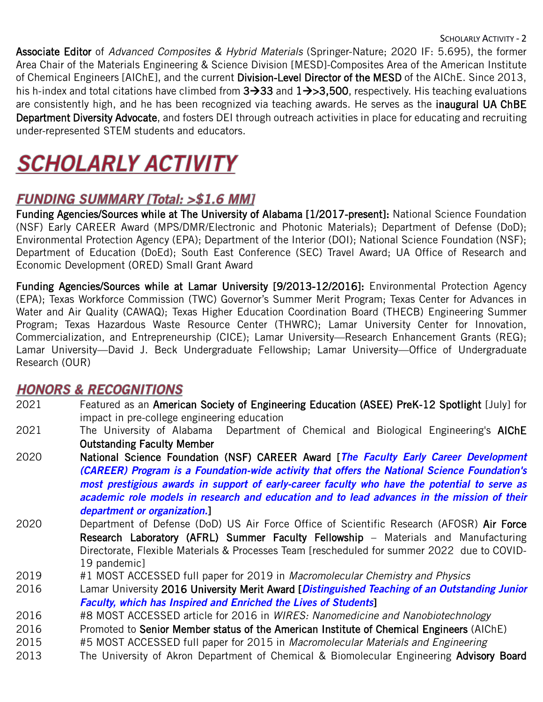Associate Editor of *Advanced Composites & Hybrid Materials* (Springer-Nature; 2020 IF: 5.695), the former Area Chair of the Materials Engineering & Science Division [MESD]-Composites Area of the American Institute of Chemical Engineers [AIChE], and the current Division-Level Director of the MESD of the AIChE. Since 2013, his h-index and total citations have climbed from  $3\rightarrow 33$  and  $1\rightarrow >3,500$ , respectively. His teaching evaluations are consistently high, and he has been recognized via teaching awards. He serves as the **inaugural UA ChBE** Department Diversity Advocate, and fosters DEI through outreach activities in place for educating and recruiting under-represented STEM students and educators.

# **SCHOLARLY ACTIVITY**

# **FUNDING SUMMARY [Total: >\$1.6 MM]**

Funding Agencies/Sources while at The University of Alabama [1/2017-present]: National Science Foundation (NSF) Early CAREER Award (MPS/DMR/Electronic and Photonic Materials); Department of Defense (DoD); Environmental Protection Agency (EPA); Department of the Interior (DOI); National Science Foundation (NSF); Department of Education (DoEd); South East Conference (SEC) Travel Award; UA Office of Research and Economic Development (ORED) Small Grant Award

Funding Agencies/Sources while at Lamar University [9/2013-12/2016]: Environmental Protection Agency (EPA); Texas Workforce Commission (TWC) Governor's Summer Merit Program; Texas Center for Advances in Water and Air Quality (CAWAQ); Texas Higher Education Coordination Board (THECB) Engineering Summer Program; Texas Hazardous Waste Resource Center (THWRC); Lamar University Center for Innovation, Commercialization, and Entrepreneurship (CICE); Lamar University—Research Enhancement Grants (REG); Lamar University—David J. Beck Undergraduate Fellowship; Lamar University—Office of Undergraduate Research (OUR)

## **HONORS & RECOGNITIONS**

- 2021 Featured as an American Society of Engineering Education (ASEE) PreK-12 Spotlight [July] for impact in pre-college engineering education
- 2021 The University of Alabama Department of Chemical and Biological Engineering's AIChE Outstanding Faculty Member
- 2020 National Science Foundation (NSF) CAREER Award [*The Faculty Early Career Development (CAREER) Program is a Foundation-wide activity that offers the National Science Foundation's most prestigious awards in support of early-career faculty who have the potential to serve as academic role models in research and education and to lead advances in the mission of their department or organization.*]
- 2020 Department of Defense (DoD) US Air Force Office of Scientific Research (AFOSR) Air Force Research Laboratory (AFRL) Summer Faculty Fellowship – Materials and Manufacturing Directorate, Flexible Materials & Processes Team [rescheduled for summer 2022 due to COVID-19 pandemic]
- 2019 #1 MOST ACCESSED full paper for 2019 in *Macromolecular Chemistry and Physics*
- 2016 Lamar University 2016 University Merit Award [*Distinguished Teaching of an Outstanding Junior Faculty, which has Inspired and Enriched the Lives of Students*]
- 2016 #8 MOST ACCESSED article for 2016 in *WIRES: Nanomedicine and Nanobiotechnology*
- 2016 Promoted to Senior Member status of the American Institute of Chemical Engineers (AIChE)
- 2015 #5 MOST ACCESSED full paper for 2015 in *Macromolecular Materials and Engineering*
- 2013 The University of Akron Department of Chemical & Biomolecular Engineering Advisory Board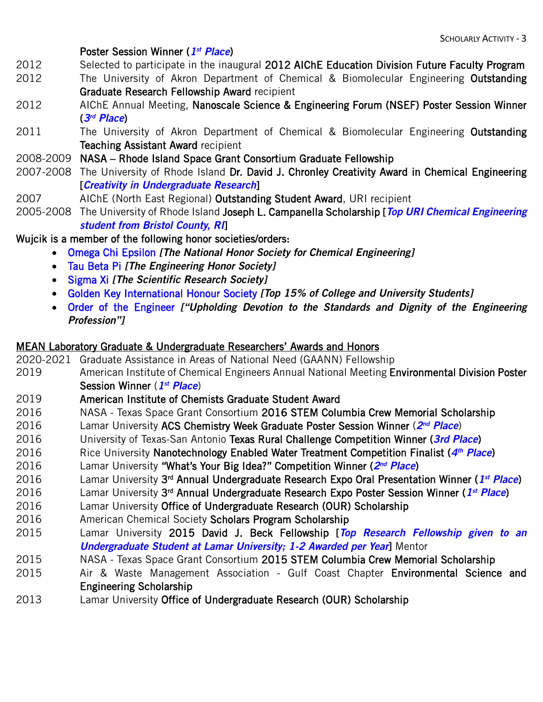#### Poster Session Winner (*1st Place*)

- 2012 Selected to participate in the inaugural 2012 AIChE Education Division Future Faculty Program
- 2012 The University of Akron Department of Chemical & Biomolecular Engineering **Outstanding** Graduate Research Fellowship Award recipient
- [2012 AIChE Annual Meeting, Nanoscale Science & Engineering Forum \(NSEF\) Poster Session Winner](http://www.aiche.org/community/divisions-forums/nsef/2012-Award-winners-annual-meeting) (*3rd Place*)
- 2011 The University of Akron Department of Chemical & Biomolecular Engineering Outstanding Teaching Assistant Award recipient
- 2008-2009 NASA Rhode Island Space Grant Consortium Graduate Fellowship
- 2007-2008 The University of Rhode Island Dr. David J. Chronley Creativity Award in Chemical Engineering [*Creativity in Undergraduate Research*]
- 2007 AIChE (North East Regional) Outstanding Student Award, URI recipient
- 2005-2008 The University of Rhode Island Joseph L. Campanella Scholarship [*Top URI Chemical Engineering student from Bristol County, RI*]

### Wujcik is a member of the following honor societies/orders:

- Omega Chi Epsilon *[The National Honor Society for Chemical Engineering]*
- Tau Beta Pi *[The Engineering Honor Society]*
- Sigma Xi *[The Scientific Research Society]*
- Golden Key International Honour Society *[Top 15% of College and University Students]*
- Order of the Engineer *["Upholding Devotion to the Standards and Dignity of the Engineering Profession"]*

#### MEAN Laboratory Graduate & Undergraduate Researchers' Awards and Honors

- 2020-2021 Graduate Assistance in Areas of National Need (GAANN) Fellowship 2019 American Institute of Chemical Engineers Annual National Meeting Environmental Division Poster Session Winner (*1st Place*) 2019 American Institute of Chemists Graduate Student Award 2016 NASA - Texas Space Grant Consortium 2016 STEM Columbia Crew Memorial Scholarship 2016 Lamar University ACS Chemistry Week Graduate Poster Session Winner (*2nd Place*) 2016 University of Texas-San Antonio Texas Rural Challenge Competition Winner (*3rd Place*) 2016 Rice University Nanotechnology Enabled Water Treatment Competition Finalist (*4th Place*) 2016 Lamar University "What's Your Big Idea?" Competition Winner (*2nd Place*) 2016 Lamar University 3rd Annual Undergraduate Research Expo Oral Presentation Winner (*1st Place*) 2016 Lamar University 3rd Annual Undergraduate Research Expo Poster Session Winner (*1st Place*) 2016 Lamar University Office of Undergraduate Research (OUR) Scholarship 2016 American Chemical Society Scholars Program Scholarship 2015 Lamar University [2015 David J. Beck Fellowship](http://students.lamar.edu/academic-support/beck-fellowships.html) [*Top Research Fellowship given to an Undergraduate Student at Lamar University; 1-2 Awarded per Year*] Mentor 2015 NASA - Texas Space Grant Consortium 2015 STEM Columbia Crew Memorial Scholarship 2015 Air & Waste Management Association - Gulf Coast Chapter Environmental Science and
	- Engineering Scholarship
- 2013 Lamar University Office of Undergraduate Research (OUR) Scholarship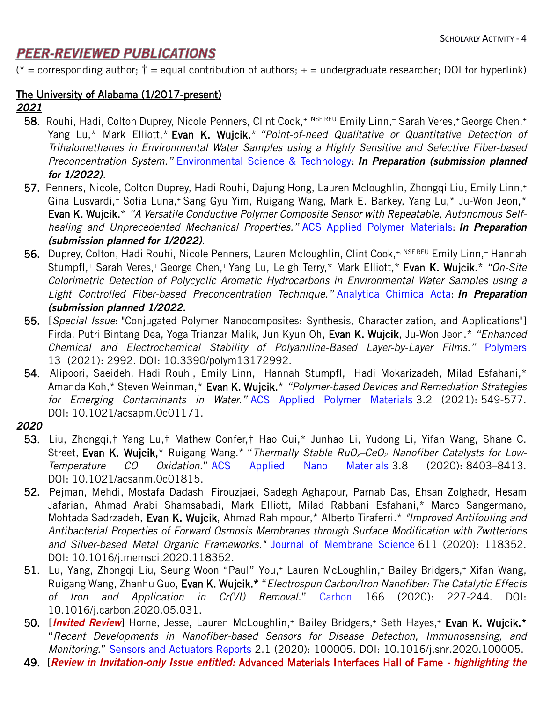## **PEER-REVIEWED PUBLICATIONS**

(\* = corresponding author;  $\dagger$  = equal contribution of authors; + = undergraduate researcher; DOI for hyperlink)

### The University of Alabama (1/2017-present)

#### *2021*

- 58. Rouhi, Hadi, Colton Duprey, Nicole Penners, Clint Cook,<sup>+, NSF REU</sup> Emily Linn,<sup>+</sup> Sarah Veres,<sup>+</sup> George Chen,<sup>+</sup> Yang Lu,\* Mark Elliott,\* Evan K. Wujcik.\* *"Point-of-need Qualitative or Quantitative Detection of Trihalomethanes in Environmental Water Samples using a Highly Sensitive and Selective Fiber-based Preconcentration System."* Environmental Science & Technology: *In Preparation (submission planned for 1/2022).*
- 57. Penners, Nicole, Colton Duprey, Hadi Rouhi, Dajung Hong, Lauren Mcloughlin, Zhongqi Liu, Emily Linn,+ Gina Lusvardi,+ Sofia Luna,+ Sang Gyu Yim, Ruigang Wang, Mark E. Barkey, Yang Lu,\* Ju-Won Jeon,\* Evan K. Wujcik.\* *"A Versatile Conductive Polymer Composite Sensor with Repeatable, Autonomous Selfhealing and Unprecedented Mechanical Properties."* ACS Applied Polymer Materials: *In Preparation (submission planned for 1/2022).*
- 56. Duprey, Colton, Hadi Rouhi, Nicole Penners, Lauren Mcloughlin, Clint Cook,<sup>+, NSF REU</sup> Emily Linn,<sup>+</sup> Hannah Stumpfl,<sup>+</sup> Sarah Veres,<sup>+</sup> George Chen,<sup>+</sup> Yang Lu, Leigh Terry,\* Mark Elliott,\* Evan K. Wujcik.\* *"On-Site Colorimetric Detection of Polycyclic Aromatic Hydrocarbons in Environmental Water Samples using a Light Controlled Fiber-based Preconcentration Technique."* Analytica Chimica Acta: *In Preparation (submission planned 1/2022.*
- 55. [*Special Issue*: "Conjugated Polymer Nanocomposites: Synthesis, Characterization, and Applications"] Firda, Putri Bintang Dea, Yoga Trianzar Malik, Jun Kyun Oh, Evan K. Wujcik, Ju-Won Jeon.\* *"Enhanced Chemical and Electrochemical Stability of Polyaniline-Based Layer-by-Layer Films."* Polymers 13 (2021): 2992. DOI: [10.3390/polym13172992.](https://doi.org/10.3390/polym13172992)
- 54. Alipoori, Saeideh, Hadi Rouhi, Emily Linn,<sup>+</sup> Hannah Stumpfl,<sup>+</sup> Hadi Mokarizadeh, Milad Esfahani,\* Amanda Koh,\* Steven Weinman,\* Evan K. Wujcik.\* *"Polymer-based Devices and Remediation Strategies for Emerging Contaminants in Water."* ACS Applied Polymer Materials 3.2 (2021): 549-577. DOI: [10.1021/acsapm.0c01171.](http://www.doi.org/10.1021/acsapm.0c01171)

### *2020*

- 53. Liu, Zhongqi,† Yang Lu,† Mathew Confer,† Hao Cui,\* Junhao Li, Yudong Li, Yifan Wang, Shane C. Street, Evan K. Wujcik,\* Ruigang Wang.\* "Thermally Stable RuO<sub>x</sub>-CeO<sub>2</sub> Nanofiber Catalysts for Low-*Temperature CO Oxidation.*" ACS Applied Nano Materials 3.8 (2020): 8403–8413. DOI: [10.1021/acsanm.0c01815.](https://doi.org/10.1021/acsanm.0c01815)
- 52. Pejman, Mehdi, Mostafa Dadashi Firouzjaei, Sadegh Aghapour, Parnab Das, Ehsan Zolghadr, Hesam Jafarian, Ahmad Arabi Shamsabadi, Mark Elliott, Milad Rabbani Esfahani,\* Marco Sangermano, Mohtada Sadrzadeh, Evan K. Wujcik, Ahmad Rahimpour,\* Alberto Tiraferri.\* *"Improved Antifouling and Antibacterial Properties of Forward Osmosis Membranes through Surface Modification with Zwitterions and Silver-based Metal Organic Frameworks."* Journal of Membrane Science 611 (2020): 118352. DOI: [10.1016/j.memsci.2020.118352.](https://doi.org/10.1016/j.memsci.2020.118352)
- 51. Lu, Yang, Zhongqi Liu, Seung Woon "Paul" You,+ Lauren McLoughlin,+ Bailey Bridgers,+ Xifan Wang, Ruigang Wang, Zhanhu Guo, Evan K. Wujcik.\* "*Electrospun Carbon/Iron Nanofiber: The Catalytic Effects of Iron and Application in Cr(VI) Removal.*" Carbon 166 (2020): 227-244. DOI: [10.1016/j.carbon.2020.05.031.](https://doi.org/10.1016/j.carbon.2020.05.031)
- 50. [Invited Review] Horne, Jesse, Lauren McLoughlin,<sup>+</sup> Bailey Bridgers,<sup>+</sup> Seth Hayes,<sup>+</sup> Evan K. Wujcik.\* "*Recent Developments in Nanofiber-based Sensors for Disease Detection, Immunosensing, and Monitoring.*" Sensors and Actuators Reports 2.1 (2020): 100005. DOI: [10.1016/j.snr.2020.100005.](https://doi.org/10.1016/j.snr.2020.100005)
- 49. [*Review in Invitation-only Issue entitled:* Advanced Materials Interfaces Hall of Fame *- highlighting the*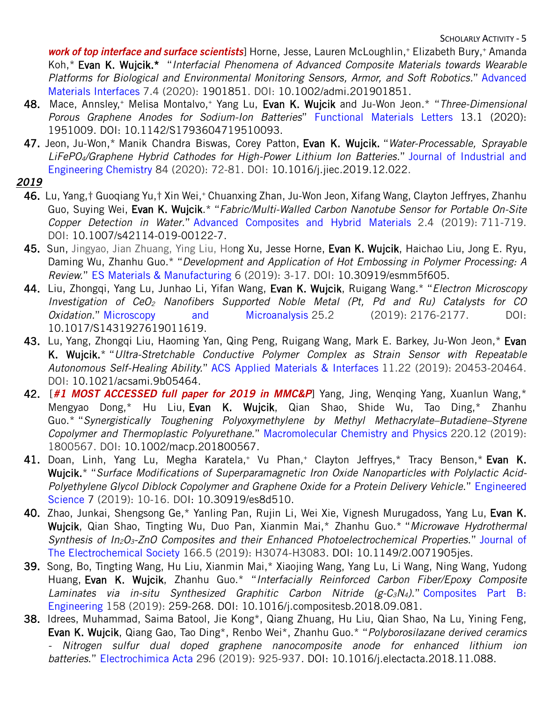work of top interface and surface scientists] Horne, Jesse, Lauren McLoughlin,<sup>+</sup> Elizabeth Bury,<sup>+</sup> Amanda Koh,\* Evan K. Wujcik.\* "*Interfacial Phenomena of Advanced Composite Materials towards Wearable Platforms for Biological and Environmental Monitoring Sensors, Armor, and Soft Robotics.*" Advanced Materials Interfaces 7.4 (2020): 1901851. DOI: [10.1002/admi.201901851.](http://doi.org/10.1002/admi.201901851)

- 48. Mace, Annsley,+ Melisa Montalvo,+ Yang Lu, Evan K. Wujcik and Ju-Won Jeon.\* "*Three-Dimensional Porous Graphene Anodes for Sodium-Ion Batteries*" Functional Materials Letters 13.1 (2020): 1951009. DOI: [10.1142/S1793604719510093.](https://doi.org/10.1142/S1793604719510093)
- 47. Jeon, Ju-Won,\* Manik Chandra Biswas, Corey Patton, Evan K. Wujcik. "*Water-Processable, Sprayable LiFePO4/Graphene Hybrid Cathodes for High-Power Lithium Ion Batteries.*" Journal of Industrial and Engineering Chemistry 84 (2020): 72-81. DOI: [10.1016/j.jiec.2019.12.022.](https://doi.org/10.1016/j.jiec.2019.12.022)
- *2019*
	- 46. Lu, Yang,† Guoqiang Yu,† Xin Wei,+ Chuanxing Zhan, Ju-Won Jeon, Xifang Wang, Clayton Jeffryes, Zhanhu Guo, Suying Wei, Evan K. Wujcik.\* "*Fabric/Multi-Walled Carbon Nanotube Sensor for Portable On-Site Copper Detection in Water.*" Advanced Composites and Hybrid Materials 2.4 (2019): 711-719. DOI: [10.1007/s42114-019-00122-7.](http://www.doi.org/10.1007/s42114-019-00122-7)
	- 45. Sun, Jingyao, Jian Zhuang, Ying Liu, Hong Xu, Jesse Horne, Evan K. Wujcik, Haichao Liu, Jong E. Ryu, Daming Wu, Zhanhu Guo.\* "*Development and Application of Hot Embossing in Polymer Processing: A Review.*" ES Materials & Manufacturing 6 (2019): 3-17. DOI: [10.30919/esmm5f605.](https://www.doi.org/10.30919/esmm5f605)
	- 44. Liu, Zhongqi, Yang Lu, Junhao Li, Yifan Wang, Evan K. Wujcik, Ruigang Wang.\* "*Electron Microscopy Investigation of CeO2 Nanofibers Supported Noble Metal (Pt, Pd and Ru) Catalysts for CO Oxidation.*" Microscopy and Microanalysis 25.2 (2019): 2176-2177. DOI: [10.1017/S1431927619011619.](https://doi.org/10.1017/S1431927619011619)
	- 43. Lu, Yang, Zhongqi Liu, Haoming Yan, Qing Peng, Ruigang Wang, Mark E. Barkey, Ju-Won Jeon,\* Evan K. Wujcik.\* "*Ultra-Stretchable Conductive Polymer Complex as Strain Sensor with Repeatable Autonomous Self-Healing Ability.*" ACS Applied Materials & Interfaces 11.22 (2019): 20453-20464. DOI: [10.1021/acsami.9b05464.](http://doi.org/10.1021/acsami.9b05464)
	- 42. [*#1 MOST ACCESSED full paper for 2019 in MMC&P*] Yang, Jing, Wenqing Yang, Xuanlun Wang,\* Mengyao Dong,\* Hu Liu, Evan K. Wujcik, Qian Shao, Shide Wu, Tao Ding,\* Zhanhu Guo.\* "*Synergistically Toughening Polyoxymethylene by Methyl Methacrylate–Butadiene–Styrene Copolymer and Thermoplastic Polyurethane*." Macromolecular Chemistry and Physics 220.12 (2019): 1800567. DOI: [10.1002/macp.201800567.](https://doi.org/10.1002/macp.201800567)
	- 41. Doan, Linh, Yang Lu, Megha Karatela,<sup>+</sup> Vu Phan,<sup>+</sup> Clayton Jeffryes,<sup>\*</sup> Tracy Benson,\* Evan K. Wujcik.\* "*Surface Modifications of Superparamagnetic Iron Oxide Nanoparticles with Polylactic Acid-Polyethylene Glycol Diblock Copolymer and Graphene Oxide for a Protein Delivery Vehicle*." Engineered Science 7 (2019): 10-16. DOI: [10.30919/es8d510.](http://www.doi.org/10.30919/es8d510)
	- 40. Zhao, Junkai, Shengsong Ge,\* Yanling Pan, Rujin Li, Wei Xie, Vignesh Murugadoss, Yang Lu, Evan K. Wujcik, Qian Shao, Tingting Wu, Duo Pan, Xianmin Mai,\* Zhanhu Guo.\* "*Microwave Hydrothermal Synthesis of In2O3-ZnO Composites and their Enhanced Photoelectrochemical Properties*." Journal of The Electrochemical Society 166.5 (2019): H3074-H3083. DOI: [10.1149/2.0071905jes.](http://dx.doi.org/10.1149/2.0071905jes)
	- 39. Song, Bo, Tingting Wang, Hu Liu, Xianmin Mai,\* Xiaojing Wang, Yang Lu, Li Wang, Ning Wang, Yudong Huang, Evan K. Wujcik, Zhanhu Guo.\* "*Interfacially Reinforced Carbon Fiber/Epoxy Composite Laminates via in-situ Synthesized Graphitic Carbon Nitride (g-C3N4)*." Composites Part B: Engineering 158 (2019): 259-268. DOI: [10.1016/j.compositesb.2018.09.081.](https://doi.org/10.1016/j.compositesb.2018.09.081)
	- 38. Idrees, Muhammad, Saima Batool, Jie Kong\*, Qiang Zhuang, Hu Liu, Qian Shao, Na Lu, Yining Feng, Evan K. Wujcik, Qiang Gao, Tao Ding\*, Renbo Wei\*, Zhanhu Guo.\* "*Polyborosilazane derived ceramics - Nitrogen sulfur dual doped graphene nanocomposite anode for enhanced lithium ion batteries*." Electrochimica Acta 296 (2019): 925-937. DOI: [10.1016/j.electacta.2018.11.088.](https://doi.org/10.1016/j.electacta.2018.11.088)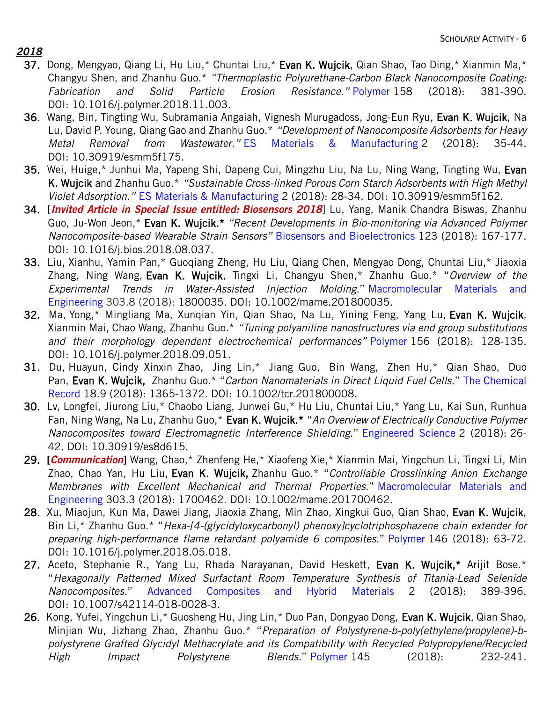## *2018*

- 37. Dong, Mengyao, Qiang Li, Hu Liu,\* Chuntai Liu,\* Evan K. Wujcik, Qian Shao, Tao Ding,\* Xianmin Ma,\* Changyu Shen, and Zhanhu Guo.\* *"Thermoplastic Polyurethane-Carbon Black Nanocomposite Coating: Fabrication and Solid Particle Erosion Resistance*.*"* Polymer 158 (2018): 381-390. DOI: [10.1016/j.polymer.2018.11.003.](https://doi.org/10.1016/j.polymer.2018.11.003)
- 36. Wang, Bin, Tingting Wu, Subramania Angaiah, Vignesh Murugadoss, Jong-Eun Ryu, Evan K. Wujcik, Na Lu, David P. Young, Qiang Gao and Zhanhu Guo.\* *"Development of Nanocomposite Adsorbents for Heavy Metal Removal from Wastewater."* ES Materials & Manufacturing 2 (2018): 35-44. DOI: [10.30919/esmm5f175.](http://doi.org/10.30919/esmm5f175)
- 35. Wei, Huige,\* Junhui Ma, Yapeng Shi, Dapeng Cui, Mingzhu Liu, Na Lu, Ning Wang, Tingting Wu, Evan K. Wujcik and Zhanhu Guo.\* *"Sustainable Cross-linked Porous Corn Starch Adsorbents with High Methyl Violet Adsorption."* ES Materials & Manufacturing 2 (2018): 28-34. DOI: [10.30919/esmm5f162.](http://doi.org/10.30919/esmm5f162)
- 34. [*Invited Article in Special Issue entitled: Biosensors 2018*] Lu, Yang, Manik Chandra Biswas, Zhanhu Guo, Ju-Won Jeon,\* Evan K. Wujcik.\* *"Recent Developments in Bio-monitoring via Advanced Polymer Nanocomposite-based Wearable Strain Sensors"* Biosensors and Bioelectronics 123 (2018): 167-177. DOI: [10.1016/j.bios.2018.08.037.](https://doi.org/10.1016/j.bios.2018.08.037)
- 33. Liu, Xianhu, Yamin Pan,\* Guoqiang Zheng, Hu Liu, Qiang Chen, Mengyao Dong, Chuntai Liu,\* Jiaoxia Zhang, Ning Wang, Evan K. Wujcik, Tingxi Li, Changyu Shen,\* Zhanhu Guo.\* "*Overview of the Experimental Trends in Water*-*Assisted Injection Molding*." Macromolecular Materials and Engineering 303.8 (2018): 1800035. DOI: [10.1002/mame.201800035.](https://doi.org/10.1002/mame.201800035)
- 32. Ma, Yong,\* Mingliang Ma, Xunqian Yin, Qian Shao, Na Lu, Yining Feng, Yang Lu, Evan K. Wujcik, Xianmin Mai, Chao Wang, Zhanhu Guo.\* *"Tuning polyaniline nanostructures via end group substitutions and their morphology dependent electrochemical performances"* Polymer 156 (2018): 128-135. DOI: [10.1016/j.polymer.2018.09.051.](https://doi.org/10.1016/j.polymer.2018.09.051)
- 31. Du, Huayun, Cindy Xinxin Zhao, Jing Lin,\* Jiang Guo, Bin Wang, Zhen Hu,\* Qian Shao, Duo Pan, Evan K. Wujcik, Zhanhu Guo.\* "*Carbon Nanomaterials in Direct Liquid Fuel Cells*." The Chemical Record 18.9 (2018): 1365-1372. DOI: [10.1002/tcr.201800008.](https://doi.org/10.1002/tcr.201800008)
- 30. Lv, Longfei, Jiurong Liu,\* Chaobo Liang, Junwei Gu,\* Hu Liu, Chuntai Liu,\* Yang Lu, Kai Sun, Runhua Fan, Ning Wang, Na Lu, Zhanhu Guo,\* Evan K. Wujcik.\* "*An Overview of Electrically Conductive Polymer Nanocomposites toward Electromagnetic Interference Shielding*." Engineered Science 2 (2018): 26- 42. DOI: [10.30919/es8d615.](https://dx.doi.org/10.30919/es8d615)
- 29. [*Communication*] Wang, Chao,\* Zhenfeng He,\* Xiaofeng Xie,\* Xianmin Mai, Yingchun Li, Tingxi Li, Min Zhao, Chao Yan, Hu Liu, Evan K. Wujcik, Zhanhu Guo.\* "*Controllable Crosslinking Anion Exchange Membranes with Excellent Mechanical and Thermal Properties*." Macromolecular Materials and Engineering 303.3 (2018): 1700462. DOI: [10.1002/mame.201700462.](http://www.dx.doi.org/10.1002/mame.201700462)
- 28. Xu, Miaojun, Kun Ma, Dawei Jiang, Jiaoxia Zhang, Min Zhao, Xingkui Guo, Qian Shao, Evan K. Wujcik, Bin Li,\* Zhanhu Guo.\* "*Hexa-[4-(glycidyloxycarbonyl) phenoxy]cyclotriphosphazene chain extender for preparing high-performance flame retardant polyamide 6 composites.*" Polymer 146 (2018): 63-72. DOI: [10.1016/j.polymer.2018.05.018.](https://doi.org/10.1016/j.polymer.2018.05.018)
- 27. Aceto, Stephanie R., Yang Lu, Rhada Narayanan, David Heskett, Evan K. Wujcik,\* Arijit Bose.\* "*Hexagonally Patterned Mixed Surfactant Room Temperature Synthesis of Titania-Lead Selenide Nanocomposites.*" Advanced Composites and Hybrid Materials 2 (2018): 389-396. DOI: [10.1007/s42114-018-0028-3.](https://dx.doi.org/10.1007/s42114-018-0028-3)
- 26. Kong, Yufei, Yingchun Li,\* Guosheng Hu, Jing Lin,\* Duo Pan, Dongyao Dong, Evan K. Wujcik, Qian Shao, Minjian Wu, Jizhang Zhao, Zhanhu Guo.\* "*Preparation of Polystyrene-b-poly(ethylene/propylene)-bpolystyrene Grafted Glycidyl Methacrylate and its Compatibility with Recycled Polypropylene/Recycled High Impact Polystyrene Blends.*" Polymer 145 (2018): 232-241.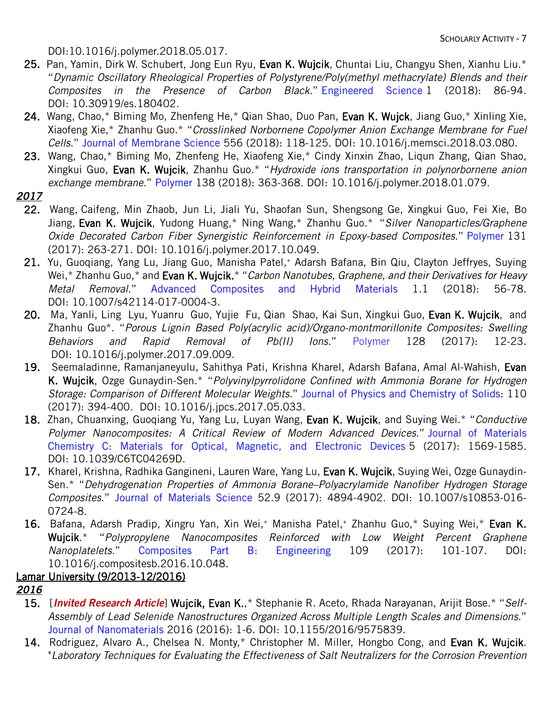DOI[:10.1016/j.polymer.2018.05.017.](https://doi.org/10.1016/j.polymer.2018.05.017)

- 25. Pan, Yamin, Dirk W. Schubert, Jong Eun Ryu, Evan K. Wujcik, Chuntai Liu, Changyu Shen, Xianhu Liu.\* "*Dynamic Oscillatory Rheological Properties of Polystyrene/Poly(methyl methacrylate) Blends and their Composites in the Presence of Carbon Black*." Engineered Science 1 (2018): 86-94. DOI: [10.30919/es.180402.](http://www.dx.doi.org/10.30919/es.180402)
- 24. Wang, Chao,\* Biming Mo, Zhenfeng He,\* Qian Shao, Duo Pan, Evan K. Wujck, Jiang Guo,\* Xinling Xie, Xiaofeng Xie,\* Zhanhu Guo.\* "*Crosslinked Norbornene Copolymer Anion Exchange Membrane for Fuel Cells*." Journal of Membrane Science 556 (2018): 118-125. DOI: [10.1016/j.memsci.2018.03.080.](https://doi.org/10.1016/j.memsci.2018.03.080)
- 23. Wang, Chao,\* Biming Mo, Zhenfeng He, Xiaofeng Xie,\* Cindy Xinxin Zhao, Liqun Zhang, Qian Shao, Xingkui Guo, Evan K. Wujcik, Zhanhu Guo.\* "*Hydroxide ions transportation in polynorbornene anion exchange membrane*." Polymer 138 (2018): 363-368. DOI: [10.1016/j.polymer.2018.01.079.](http://www.dx.doi.org/10.1016/j.polymer.2018.01.079)
- *2017*
	- 22. Wang, Caifeng, Min Zhaob, Jun Li, Jiali Yu, Shaofan Sun, Shengsong Ge, Xingkui Guo, Fei Xie, Bo Jiang, Evan K. Wujcik, Yudong Huang,\* Ning Wang,\* Zhanhu Guo.\* "*Silver Nanoparticles/Graphene Oxide Decorated Carbon Fiber Synergistic Reinforcement in Epoxy-based Composites*." Polymer 131 (2017): 263-271. DOI: [10.1016/j.polymer.2017.10.049.](https://doi.org/10.1016/j.polymer.2017.10.049)
	- 21. Yu, Guoqiang, Yang Lu, Jiang Guo, Manisha Patel,<sup>+</sup> Adarsh Bafana, Bin Qiu, Clayton Jeffryes, Suying Wei,\* Zhanhu Guo,\* and Evan K. Wujcik.\* "*Carbon Nanotubes, Graphene, and their Derivatives for Heavy Metal Removal*." Advanced Composites and Hybrid Materials 1.1 (2018): 56-78. DOI: [10.1007/s42114-017-0004-3.](http://dx.doi.org/10.1007/s42114-017-0004-3)
	- 20. Ma, Yanli, Ling Lyu, Yuanru Guo, Yujie Fu, Qian Shao, Kai Sun, Xingkui Guo, Evan K. Wujcik, and Zhanhu Guo\*. "*Porous Lignin Based Poly(acrylic acid)/Organo-montmorillonite Composites: Swelling Behaviors and Rapid Removal of Pb(II) Ions*." Polymer 128 (2017): 12-23. DOI: [10.1016/j.polymer.2017.09.009.](https://doi.org/10.1016/j.polymer.2017.09.009)
	- 19. Seemaladinne, Ramanjaneyulu, Sahithya Pati, Krishna Kharel, Adarsh Bafana, Amal Al-Wahish, Evan K. Wujcik, Ozge Gunaydin-Sen.\* "*Polyvinylpyrrolidone Confined with Ammonia Borane for Hydrogen Storage: Comparison of Different Molecular Weights*." Journal of Physics and Chemistry of Solids: 110 (2017): 394-400. DOI: [10.1016/j.jpcs.2017.05.033.](https://doi.org/10.1016/j.jpcs.2017.05.033)
	- 18. Zhan, Chuanxing, Guoqiang Yu, Yang Lu, Luyan Wang, Evan K. Wujcik, and Suying Wei.\* "*Conductive Polymer Nanocomposites: A Critical Review of Modern Advanced Devices.*" Journal of Materials Chemistry C: Materials for Optical, Magnetic, and Electronic Devices 5 (2017): 1569-1585. DOI: [10.1039/C6TC04269D.](http://dx.doi.org/10.1039/C6TC04269D)
	- 17. Kharel, Krishna, Radhika Gangineni, Lauren Ware, Yang Lu, Evan K. Wujcik, Suying Wei, Ozge Gunaydin-Sen.\* "*Dehydrogenation Properties of Ammonia Borane–Polyacrylamide Nanofiber Hydrogen Storage Composites*." Journal of Materials Science 52.9 (2017): 4894-4902. DOI: 10.1007/s10853-016- 0724-8.
	- 16. Bafana, Adarsh Pradip, Xingru Yan, Xin Wei,<sup>+</sup> Manisha Patel,<sup>+</sup> Zhanhu Guo,\* Suying Wei,\* Evan K. Wujcik.\* "*Polypropylene Nanocomposites Reinforced with Low Weight Percent Graphene Nanoplatelets.*" Composites Part B: Engineering 109 (2017): 101-107. DOI: [10.1016/j.compositesb.2016.10.048.](http://www.dx.doi.org/10.1016/j.compositesb.2016.10.048)

## Lamar University (9/2013-12/2016)

- *2016*
	- 15. [*Invited Research Article*] Wujcik, Evan K.,\* Stephanie R. Aceto, Rhada Narayanan, Arijit Bose.\* "*Self-Assembly of Lead Selenide Nanostructures Organized Across Multiple Length Scales and Dimensions.*" Journal of Nanomaterials 2016 (2016): 1-6. DOI: [10.1155/2016/9575839.](http://dx.doi.org/10.1155/2016/9575839)
	- 14. Rodriguez, Alvaro A., Chelsea N. Monty,\* Christopher M. Miller, Hongbo Cong, and Evan K. Wujcik. "*Laboratory Techniques for Evaluating the Effectiveness of Salt Neutralizers for the Corrosion Prevention*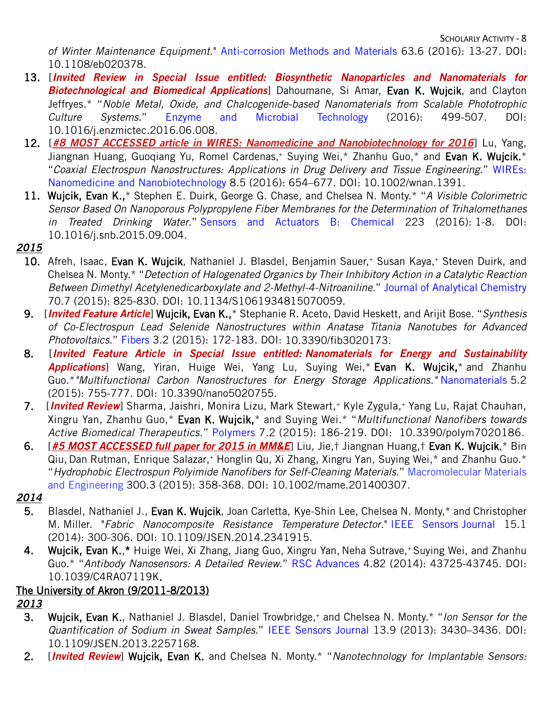SCHOLARLY ACTIVITY - 8

*of Winter Maintenance Equipment*." Anti-corrosion Methods and Materials 63.6 (2016): 13-27. DOI: [10.1108/eb020378.](http://dx.doi.org/10.1108/eb020378)

- 13. [*Invited Review in Special Issue entitled: Biosynthetic Nanoparticles and Nanomaterials for Biotechnological and Biomedical Applications*] Dahoumane, Si Amar, Evan K. Wujcik, and Clayton Jeffryes.\* "*Noble Metal, Oxide, and Chalcogenide-based Nanomaterials from Scalable Phototrophic Culture Systems*." Enzyme and Microbial Technology (2016): 499-507. DOI: [10.1016/j.enzmictec.2016.06.008.](http://dx.doi.org/10.1016/j.enzmictec.2016.06.008)
- 12. [**[#8 MOST ACCESSED article in WIRES: Nanomedicine and Nanobiotechnology for 2016](http://www.meanlaboratory.com/news/mean-lab-publication-was-the-8-most-accessed-article-in-wires-nanomedicine-and-nanobiotechnology-for-2016)**] Lu, Yang, Jiangnan Huang, Guogiang Yu, Romel Cardenas,<sup>+</sup> Suying Wei,<sup>\*</sup> Zhanhu Guo,\* and Evan K. Wujcik.\* "*Coaxial Electrospun Nanostructures: Applications in Drug Delivery and Tissue Engineering.*" WIREs: Nanomedicine and Nanobiotechnology 8.5 (2016): 654–677. DOI: [10.1002/wnan.1391.](http://dx.doi.org/10.1002/wnan.1391)
- 11. Wujcik, Evan K.,\* Stephen E. Duirk, George G. Chase, and Chelsea N. Monty.\* "*A Visible Colorimetric Sensor Based On Nanoporous Polypropylene Fiber Membranes for the Determination of Trihalomethanes in Treated Drinking Water*." Sensors and Actuators B: Chemical 223 (2016): 1-8. DOI: [10.1016/j.snb.2015.09.004.](http://dx.doi.org/10.1016/j.snb.2015.09.004)

## *2015*

- 10. Afreh, Isaac, Evan K. Wujcik, Nathaniel J. Blasdel, Benjamin Sauer,<sup>+</sup> Susan Kaya,<sup>+</sup> Steven Duirk, and Chelsea N. Monty.\* "*Detection of Halogenated Organics by Their Inhibitory Action in a Catalytic Reaction Between Dimethyl Acetylenedicarboxylate and 2-Methyl-4-Nitroaniline*." Journal of Analytical Chemistry 70.7 (2015): 825-830. DOI: [10.1134/S1061934815070059.](http://dx.doi.org/10.1134/S1061934815070059)
- 9. [*Invited Feature Article*] Wujcik, Evan K.,\* Stephanie R. Aceto, David Heskett, and Arijit Bose. "*Synthesis of Co-Electrospun Lead Selenide Nanostructures within Anatase Titania Nanotubes for Advanced Photovoltaics*." Fibers 3.2 (2015): 172-183. DOI: [10.3390/fib3020173.](http://dx.doi.org/10.3390/fib3020173)
- 8. [*Invited Feature Article in Special Issue entitled: Nanomaterials for Energy and Sustainability Applications*] Wang, Yiran, Huige Wei, Yang Lu, Suying Wei,\* Evan K. Wujcik,\* and Zhanhu Guo.\**"Multifunctional Carbon Nanostructures for Energy Storage Applications."* Nanomaterials 5.2 (2015): 755-777. DOI: [10.3390/nano5020755.](http://dx.doi.org/10.3390/nano5020755)
- 7. [*Invited Review*] Sharma, Jaishri, Monira Lizu, Mark Stewart,<sup>+</sup> Kyle Zygula,<sup>+</sup> Yang Lu, Rajat Chauhan, Xingru Yan, Zhanhu Guo,\* Evan K. Wujcik,\* and Suying Wei.\* "*Multifunctional Nanofibers towards Active Biomedical Therapeutics*." Polymers 7.2 (2015): 186-219. DOI: [10.3390/polym7020186.](http://dx.doi.org/10.3390/polym7020186)
- 6. [*#5 MOST ACCESSED full paper for 2015 in MM&E*] Liu, Jie,† Jiangnan Huang,† Evan K. Wujcik,\* Bin Qiu, Dan Rutman, Enrique Salazar,+ Honglin Qu, Xi Zhang, Xingru Yan, Suying Wei,\* and Zhanhu Guo.\* "*Hydrophobic Electrospun Polyimide Nanofibers for Self-Cleaning Materials*." Macromolecular Materials and Engineering 300.3 (2015): 358-368. DOI: [10.1002/mame.201400307.](http://dx.doi.org/10.1002/mame.201400307)

### *2014*

- 5. Blasdel, Nathaniel J., Evan K. Wujcik, Joan Carletta, Kye-Shin Lee, Chelsea N. Monty,\* and Christopher M. Miller. "*Fabric Nanocomposite Resistance Temperature Detector*." IEEE Sensors Journal 15.1 (2014): 300-306. DOI: [10.1109/JSEN.2014.2341915.](http://dx.doi.org/10.1109/JSEN.2014.2341915)
- 4. Wujcik, Evan K.,\* Huige Wei, Xi Zhang, Jiang Guo, Xingru Yan, Neha Sutrave,+ Suying Wei, and Zhanhu Guo.\* "*Antibody Nanosensors: A Detailed Review*." RSC Advances 4.82 (2014): 43725-43745. DOI: [10.1039/C4RA07119K.](http://dx.doi.org/10.1039/C4RA07119K)

## The University of Akron (9/2011-8/2013)

## *2013*

- 3. Wujcik, Evan K., Nathaniel J. Blasdel, Daniel Trowbridge,+ and Chelsea N. Monty.\* "*Ion Sensor for the Quantification of Sodium in Sweat Samples*." IEEE Sensors Journal 13.9 (2013): 3430–3436. DOI: [10.1109/JSEN.2013.2257168.](http://dx.doi.org/10.1109/JSEN.2013.2257168)
- 2. [*Invited Review*] Wujcik, Evan K. and Chelsea N. Monty.\* "*Nanotechnology for Implantable Sensors:*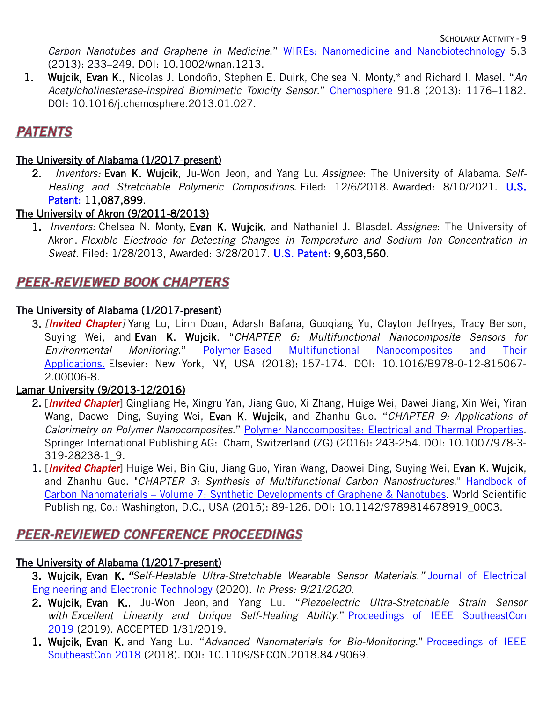SCHOLARLY ACTIVITY - 9

*Carbon Nanotubes and Graphene in Medicine*." WIREs: Nanomedicine and Nanobiotechnology 5.3 (2013): 233–249. DOI: [10.1002/wnan.1213.](http://dx.doi.org/10.1002/wnan.1213)

1. Wujcik, Evan K., Nicolas J. Londoño, Stephen E. Duirk, Chelsea N. Monty,\* and Richard I. Masel. "*An Acetylcholinesterase-inspired Biomimetic Toxicity Sensor*." Chemosphere 91.8 (2013): 1176–1182. DOI: [10.1016/j.chemosphere.2013.01.027.](http://dx.doi.org/10.1016/j.chemosphere.2013.01.027)

# **PATENTS**

## The University of Alabama (1/2017-present)

2. *Inventors:* Evan K. Wujcik, Ju-Won Jeon, and Yang Lu. *Assignee*: The University of Alabama. *Self-Healing and Stretchable Polymeric Compositions*. Filed: 12/6/2018. Awarded: 8/10/2021. U.S. Patent: 11,087,899.

## The University of Akron (9/2011-8/2013)

1. *Inventors:* Chelsea N. Monty, Evan K. Wujcik, and Nathaniel J. Blasdel. *Assignee*: The University of Akron. *Flexible Electrode for Detecting Changes in Temperature and Sodium Ion Concentration in Sweat.* Filed: 1/28/2013, Awarded: 3/28/2017. U.S. Patent: [9,603,560.](https://patentimages.storage.googleapis.com/a8/e8/04/ba8c56ab4ee3eb/US9603560.pdf)

## **PEER-REVIEWED BOOK CHAPTERS**

## The University of Alabama (1/2017-present)

3. *[Invited Chapter]* Yang Lu, Linh Doan, Adarsh Bafana, Guoqiang Yu, Clayton Jeffryes, Tracy Benson, Suying Wei, and Evan K. Wujcik. "*CHAPTER 6: Multifunctional Nanocomposite Sensors for Environmental Monitoring*." Polymer-Based Multifunctional Nanocomposites and Their Applications. Elsevier: New York, NY, USA (2018): 157-174. DOI: [10.1016/B978-0-12-815067-](https://doi.org/10.1016/B978-0-12-815067-2.00006-8) [2.00006-8.](https://doi.org/10.1016/B978-0-12-815067-2.00006-8)

## Lamar University (9/2013-12/2016)

- 2. [*Invited Chapter*] Qingliang He, Xingru Yan, Jiang Guo, Xi Zhang, Huige Wei, Dawei Jiang, Xin Wei, Yiran Wang, Daowei Ding, Suying Wei, Evan K. Wujcik, and Zhanhu Guo. "*CHAPTER 9: Applications of Calorimetry on Polymer Nanocomposites*." Polymer Nanocomposites: Electrical and Thermal Properties. Springer International Publishing AG: Cham, Switzerland (ZG) (2016): 243-254. DOI: [10.1007/978-3-](https://doi.org/10.1007/978-3-319-28238-1_9) [319-28238-1\\_9.](https://doi.org/10.1007/978-3-319-28238-1_9)
- 1. [*Invited Chapter*] Huige Wei, Bin Qiu, Jiang Guo, Yiran Wang, Daowei Ding, Suying Wei, Evan K. Wujcik, and Zhanhu Guo. "*CHAPTER 3: Synthesis of Multifunctional Carbon Nanostructures*." Handbook of Carbon Nanomaterials – Volume 7: Synthetic Developments of Graphene & Nanotubes. World Scientific Publishing, Co.: Washington, D.C., USA (2015): 89-126. DOI: [10.1142/9789814678919\\_0003.](https://doi.org/10.1142/9789814678919_0003)

## **PEER-REVIEWED CONFERENCE PROCEEDINGS**

## The University of Alabama (1/2017-present)

- 3. Wujcik, Evan K. *"Self-Healable Ultra-Stretchable Wearable Sensor Materials."* Journal of Electrical Engineering and Electronic Technology (2020). *In Press: [9/21/2020.](https://www.scitechnol.com/peer-review/selfhealable-ultrastretchable-wearable-sensor-materials-1gjT.pdf)*
- 2. Wujcik, Evan K., Ju-Won Jeon, and Yang Lu. "*Piezoelectric Ultra-Stretchable Strain Sensor with Excellent Linearity and Unique Self-Healing Ability.*" Proceedings of IEEE SoutheastCon 2019 (2019). ACCEPTED 1/31/2019.
- 1. Wujcik, Evan K. and Yang Lu. "*Advanced Nanomaterials for Bio-Monitoring.*" Proceedings of IEEE SoutheastCon 2018 (2018). DOI: [10.1109/SECON.2018.8479069.](http://www.dx.doi.org/10.1109/SECON.2018.8479069)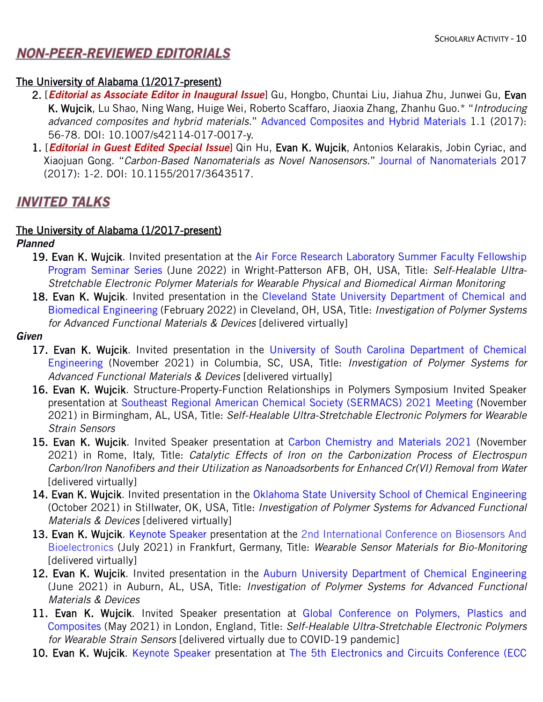## **NON-PEER-REVIEWED EDITORIALS**

### The University of Alabama (1/2017-present)

- 2. [*Editorial as Associate Editor in Inaugural Issue*] Gu, Hongbo, Chuntai Liu, Jiahua Zhu, Junwei Gu, Evan K. Wujcik, Lu Shao, Ning Wang, Huige Wei, Roberto Scaffaro, Jiaoxia Zhang, Zhanhu Guo.\* "*Introducing advanced composites and hybrid materials.*" Advanced Composites and Hybrid Materials 1.1 (2017):
- 56-78. DOI: [10.1007/s42114-017-0017-y.](https://doi.org/10.1007/s42114-017-0017-y) 1. [*Editorial in Guest Edited Special Issue*] Qin Hu, Evan K. Wujcik, Antonios Kelarakis, Jobin Cyriac, and Xiaojuan Gong. "*Carbon-Based Nanomaterials as Novel Nanosensors*." Journal of Nanomaterials 2017 (2017): 1-2. DOI: [10.1155/2017/3643517.](https://doi.org/10.1155/2017/3643517)

## **INVITED TALKS**

### The University of Alabama (1/2017-present)

*Planned*

- 19. Evan K. Wujcik. Invited presentation at the Air Force Research Laboratory Summer Faculty Fellowship Program Seminar Series (June 2022) in Wright-Patterson AFB, OH, USA, Title: *Self-Healable Ultra-Stretchable Electronic Polymer Materials for Wearable Physical and Biomedical Airman Monitoring*
- 18. Evan K. Wujcik. Invited presentation in the Cleveland State University Department of Chemical and Biomedical Engineering (February 2022) in Cleveland, OH, USA, Title: *Investigation of Polymer Systems for Advanced Functional Materials & Devices* [delivered virtually]
- *Given*
	- 17. Evan K. Wujcik. Invited presentation in the University of South Carolina Department of Chemical Engineering (November 2021) in Columbia, SC, USA, Title: *Investigation of Polymer Systems for Advanced Functional Materials & Devices* [delivered virtually]
	- 16. Evan K. Wujcik. Structure-Property-Function Relationships in Polymers Symposium Invited Speaker presentation at Southeast Regional American Chemical Society (SERMACS) 2021 Meeting (November 2021) in Birmingham, AL, USA, Title: *Self-Healable Ultra-Stretchable Electronic Polymers for Wearable Strain Sensors*
	- 15. Evan K. Wujcik. Invited Speaker presentation at Carbon Chemistry and Materials 2021 (November 2021) in Rome, Italy, Title: *Catalytic Effects of Iron on the Carbonization Process of Electrospun Carbon/Iron Nanofibers and their Utilization as Nanoadsorbents for Enhanced Cr(VI) Removal from Water*  [delivered virtually]
	- 14. Evan K. Wujcik. Invited presentation in the Oklahoma State University School of Chemical Engineering (October 2021) in Stillwater, OK, USA, Title: *Investigation of Polymer Systems for Advanced Functional Materials & Devices* [delivered virtually]
	- 13. Evan K. Wujcik. Keynote Speaker presentation at the 2nd International Conference on Biosensors And Bioelectronics (July 2021) in Frankfurt, Germany, Title: *Wearable Sensor Materials for Bio-Monitoring* [delivered virtually]
	- 12. Evan K. Wujcik. Invited presentation in the Auburn University Department of Chemical Engineering (June 2021) in Auburn, AL, USA, Title: *Investigation of Polymer Systems for Advanced Functional Materials & Devices*
	- 11. Evan K. Wujcik. Invited Speaker presentation at Global Conference on Polymers, Plastics and Composites (May 2021) in London, England, Title: *Self-Healable Ultra-Stretchable Electronic Polymers for Wearable Strain Sensors* [delivered virtually due to COVID-19 pandemic]
	- 10. Evan K. Wujcik. Keynote Speaker presentation at The 5th Electronics and Circuits Conference (ECC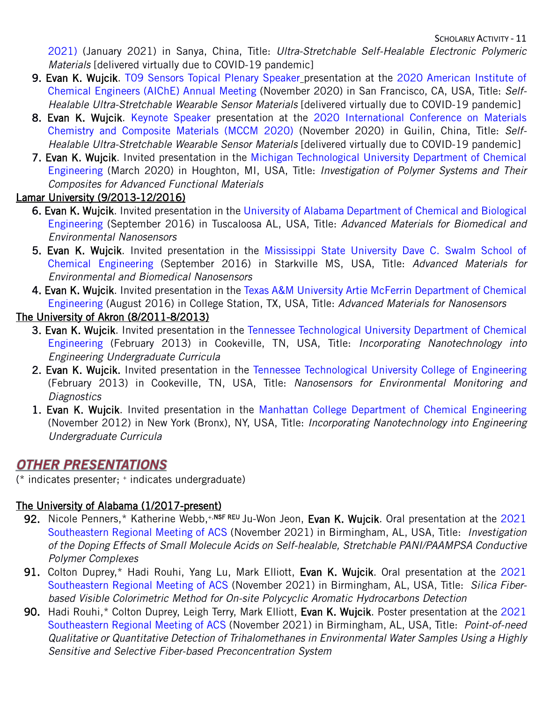2021) (January 2021) in Sanya, China, Title: *Ultra-Stretchable Self-Healable Electronic Polymeric Materials* [delivered virtually due to COVID-19 pandemic]

- 9. Evan K. Wujcik. T09 Sensors Topical Plenary Speaker presentation at the 2020 American Institute of Chemical Engineers (AIChE) Annual Meeting (November 2020) in San Francisco, CA, USA, Title: *Self-Healable Ultra-Stretchable Wearable Sensor Materials* [delivered virtually due to COVID-19 pandemic]
- 8. Evan K. Wujcik. Keynote Speaker presentation at the 2020 International Conference on Materials Chemistry and Composite Materials (MCCM 2020) (November 2020) in Guilin, China, Title: *Self-Healable Ultra-Stretchable Wearable Sensor Materials* [delivered virtually due to COVID-19 pandemic]
- 7. Evan K. Wujcik. Invited presentation in the Michigan Technological University Department of Chemical Engineering (March 2020) in Houghton, MI, USA, Title: *Investigation of Polymer Systems and Their Composites for Advanced Functional Materials*

## Lamar University (9/2013-12/2016)

- 6. Evan K. Wujcik. Invited presentation in the University of Alabama Department of Chemical and Biological Engineering (September 2016) in Tuscaloosa AL, USA, Title: *Advanced Materials for Biomedical and Environmental Nanosensors*
- 5. Evan K. Wujcik. Invited presentation in the Mississippi State University Dave C. Swalm School of Chemical Engineering (September 2016) in Starkville MS, USA, Title: *Advanced Materials for Environmental and Biomedical Nanosensors*
- 4. Evan K. Wujcik. Invited presentation in the Texas A&M University Artie McFerrin Department of Chemical Engineering (August 2016) in College Station, TX, USA, Title: *Advanced Materials for Nanosensors*

## The University of Akron (8/2011-8/2013)

- 3. Evan K. Wujcik. Invited presentation in the Tennessee Technological University Department of Chemical Engineering (February 2013) in Cookeville, TN, USA, Title: *Incorporating Nanotechnology into Engineering Undergraduate Curricula*
- 2. Evan K. Wujcik. Invited presentation in the Tennessee Technological University College of Engineering (February 2013) in Cookeville, TN, USA, Title: *Nanosensors for Environmental Monitoring and Diagnostics*
- 1. Evan K. Wujcik. Invited presentation in the Manhattan College Department of Chemical Engineering (November 2012) in New York (Bronx), NY, USA, Title: *Incorporating Nanotechnology into Engineering Undergraduate Curricula*

## **OTHER PRESENTATIONS**

(\* indicates presenter; + indicates undergraduate)

## The University of Alabama (1/2017-present)

- 92. Nicole Penners,\* Katherine Webb,<sup>+,NSF REU</sup> Ju-Won Jeon, Evan K. Wujcik. Oral presentation at the 2021 Southeastern Regional Meeting of ACS (November 2021) in Birmingham, AL, USA, Title: *Investigation of the Doping Effects of Small Molecule Acids on Self-healable, Stretchable PANI/PAAMPSA Conductive Polymer Complexes*
- 91. Colton Duprey,\* Hadi Rouhi, Yang Lu, Mark Elliott, Evan K. Wujcik. Oral presentation at the 2021 Southeastern Regional Meeting of ACS (November 2021) in Birmingham, AL, USA, Title: *Silica Fiberbased Visible Colorimetric Method for On-site Polycyclic Aromatic Hydrocarbons Detection*
- 90. Hadi Rouhi,\* Colton Duprey, Leigh Terry, Mark Elliott, Evan K. Wujcik. Poster presentation at the 2021 Southeastern Regional Meeting of ACS (November 2021) in Birmingham, AL, USA, Title: *Point-of-need Qualitative or Quantitative Detection of Trihalomethanes in Environmental Water Samples Using a Highly Sensitive and Selective Fiber-based Preconcentration System*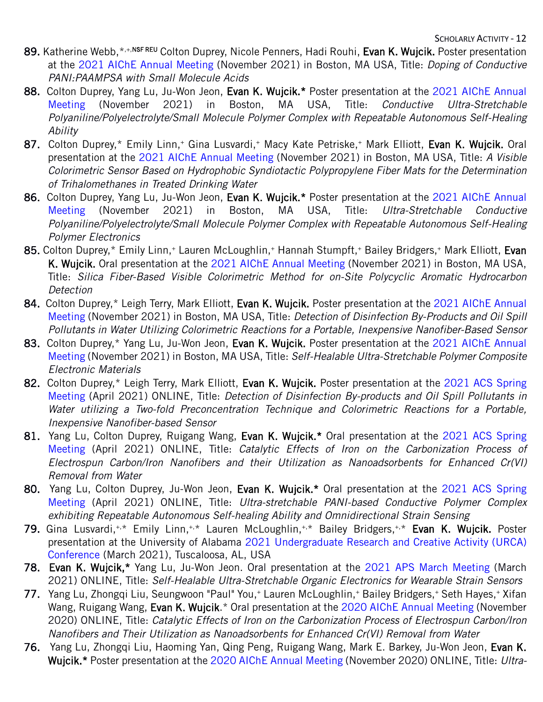- 89. Katherine Webb, \*,+,NSF REU Colton Duprey, Nicole Penners, Hadi Rouhi, Evan K. Wujcik. Poster presentation at the 2021 AIChE Annual Meeting (November 2021) in Boston, MA USA, Title: *Doping of Conductive PANI:PAAMPSA with Small Molecule Acids*
- 88. Colton Duprey, Yang Lu, Ju-Won Jeon, Evan K. Wujcik.\* Poster presentation at the 2021 AIChE Annual Meeting (November 2021) in Boston, MA USA, Title: *Conductive Ultra-Stretchable Polyaniline/Polyelectrolyte/Small Molecule Polymer Complex with Repeatable Autonomous Self-Healing Ability*
- 87. Colton Duprey,\* Emily Linn,+ Gina Lusvardi,+ Macy Kate Petriske,+ Mark Elliott, Evan K. Wujcik. Oral presentation at the 2021 AIChE Annual Meeting (November 2021) in Boston, MA USA, Title: *A Visible Colorimetric Sensor Based on Hydrophobic Syndiotactic Polypropylene Fiber Mats for the Determination of Trihalomethanes in Treated Drinking Water*
- 86. Colton Duprey, Yang Lu, Ju-Won Jeon, Evan K. Wujcik.\* Poster presentation at the 2021 AIChE Annual Meeting (November 2021) in Boston, MA USA, Title: *Ultra-Stretchable Conductive Polyaniline/Polyelectrolyte/Small Molecule Polymer Complex with Repeatable Autonomous Self-Healing Polymer Electronics*
- 85. Colton Duprey,\* Emily Linn,+ Lauren McLoughlin,+ Hannah Stumpft,+ Bailey Bridgers,+ Mark Elliott, Evan K. Wujcik. Oral presentation at the 2021 AIChE Annual Meeting (November 2021) in Boston, MA USA, Title: *Silica Fiber-Based Visible Colorimetric Method for on-Site Polycyclic Aromatic Hydrocarbon Detection*
- 84. Colton Duprey,\* Leigh Terry, Mark Elliott, Evan K. Wujcik. Poster presentation at the 2021 AIChE Annual Meeting (November 2021) in Boston, MA USA, Title: *Detection of Disinfection By-Products and Oil Spill Pollutants in Water Utilizing Colorimetric Reactions for a Portable, Inexpensive Nanofiber-Based Sensor*
- 83. Colton Duprey,\* Yang Lu, Ju-Won Jeon, Evan K. Wujcik. Poster presentation at the 2021 AIChE Annual Meeting (November 2021) in Boston, MA USA, Title: *Self-Healable Ultra-Stretchable Polymer Composite Electronic Materials*
- 82. Colton Duprey,\* Leigh Terry, Mark Elliott, Evan K. Wujcik. Poster presentation at the 2021 ACS Spring Meeting (April 2021) ONLINE, Title: *Detection of Disinfection By-products and Oil Spill Pollutants in Water utilizing a Two-fold Preconcentration Technique and Colorimetric Reactions for a Portable, Inexpensive Nanofiber-based Sensor*
- 81. Yang Lu, Colton Duprey, Ruigang Wang, Evan K. Wujcik.\* Oral presentation at the 2021 ACS Spring Meeting (April 2021) ONLINE, Title: *Catalytic Effects of Iron on the Carbonization Process of Electrospun Carbon/Iron Nanofibers and their Utilization as Nanoadsorbents for Enhanced Cr(VI) Removal from Water*
- 80. Yang Lu, Colton Duprey, Ju-Won Jeon, Evan K. Wujcik.\* Oral presentation at the 2021 ACS Spring Meeting (April 2021) ONLINE, Title: *Ultra-stretchable PANI-based Conductive Polymer Complex exhibiting Repeatable Autonomous Self-healing Ability and Omnidirectional Strain Sensing*
- 79. Gina Lusvardi,<sup>+,\*</sup> Emily Linn,<sup>+,\*</sup> Lauren McLoughlin,<sup>+,\*</sup> Bailey Bridgers,<sup>+,\*</sup> Evan K. Wujcik. Poster presentation at the University of Alabama 2021 Undergraduate Research and Creative Activity (URCA) Conference (March 2021), Tuscaloosa, AL, USA
- 78. Evan K. Wujcik,\* Yang Lu, Ju-Won Jeon. Oral presentation at the 2021 APS March Meeting (March 2021) ONLINE, Title: *Self-Healable Ultra-Stretchable Organic Electronics for Wearable Strain Sensors*
- 77. Yang Lu, Zhongqi Liu, Seungwoon "Paul" You,<sup>+</sup> Lauren McLoughlin,<sup>+</sup> Bailey Bridgers,<sup>+</sup> Seth Hayes,<sup>+</sup> Xifan Wang, Ruigang Wang, Evan K. Wujcik.\* Oral presentation at the 2020 AIChE Annual Meeting (November 2020) ONLINE, Title: *Catalytic Effects of Iron on the Carbonization Process of Electrospun Carbon/Iron Nanofibers and Their Utilization as Nanoadsorbents for Enhanced Cr(VI) Removal from Water*
- 76. Yang Lu, Zhongqi Liu, Haoming Yan, Qing Peng, Ruigang Wang, Mark E. Barkey, Ju-Won Jeon, Evan K. Wujcik.\* Poster presentation at the 2020 AIChE Annual Meeting (November 2020) ONLINE, Title: *Ultra-*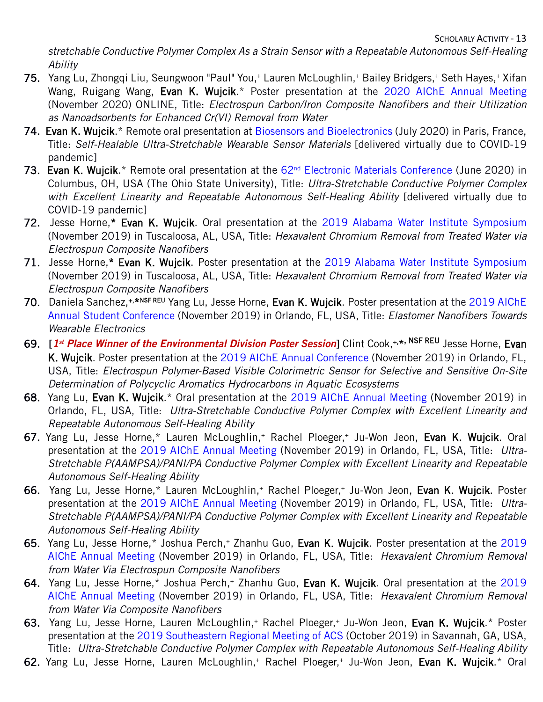*stretchable Conductive Polymer Complex As a Strain Sensor with a Repeatable Autonomous Self-Healing Ability*

- 75. Yang Lu, Zhongqi Liu, Seungwoon "Paul" You,+ Lauren McLoughlin,+ Bailey Bridgers,+ Seth Hayes,+ Xifan Wang, Ruigang Wang, Evan K. Wujcik.\* Poster presentation at the 2020 AIChE Annual Meeting (November 2020) ONLINE, Title: *Electrospun Carbon/Iron Composite Nanofibers and their Utilization as Nanoadsorbents for Enhanced Cr(VI) Removal from Water*
- 74. Evan K. Wujcik.\* Remote oral presentation at Biosensors and Bioelectronics (July 2020) in Paris, France, Title: *Self-Healable Ultra-Stretchable Wearable Sensor Materials* [delivered virtually due to COVID-19 pandemic]
- 73. Evan K. Wujcik.\* Remote oral presentation at the 62<sup>nd</sup> Electronic Materials Conference (June 2020) in Columbus, OH, USA (The Ohio State University), Title: *Ultra-Stretchable Conductive Polymer Complex with Excellent Linearity and Repeatable Autonomous Self-Healing Ability* [delivered virtually due to COVID-19 pandemic]
- 72. Jesse Horne,\* Evan K. Wujcik. Oral presentation at the 2019 Alabama Water Institute Symposium (November 2019) in Tuscaloosa, AL, USA, Title: *Hexavalent Chromium Removal from Treated Water via Electrospun Composite Nanofibers*
- 71. Jesse Horne,\* Evan K. Wujcik. Poster presentation at the 2019 Alabama Water Institute Symposium (November 2019) in Tuscaloosa, AL, USA, Title: *Hexavalent Chromium Removal from Treated Water via Electrospun Composite Nanofibers*
- 70. Daniela Sanchez,<sup>+,\*NSF REU</sup> Yang Lu, Jesse Horne, Evan K. Wujcik. Poster presentation at the 2019 AIChE Annual Student Conference (November 2019) in Orlando, FL, USA, Title: *Elastomer Nanofibers Towards Wearable Electronics*
- 69. [*1st Place Winner of the Environmental Division Poster Session*] Clint Cook,+,\*, NSF REU Jesse Horne, Evan K. Wujcik. Poster presentation at the 2019 AIChE Annual Conference (November 2019) in Orlando, FL, USA, Title: *Electrospun Polymer-Based Visible Colorimetric Sensor for Selective and Sensitive On-Site Determination of Polycyclic Aromatics Hydrocarbons in Aquatic Ecosystems*
- 68. Yang Lu, Evan K. Wujcik.\* Oral presentation at the 2019 AIChE Annual Meeting (November 2019) in Orlando, FL, USA, Title: *Ultra-Stretchable Conductive Polymer Complex with Excellent Linearity and Repeatable Autonomous Self-Healing Ability*
- 67. Yang Lu, Jesse Horne,\* Lauren McLoughlin,+ Rachel Ploeger,+ Ju-Won Jeon, Evan K. Wujcik. Oral presentation at the 2019 AIChE Annual Meeting (November 2019) in Orlando, FL, USA, Title: *Ultra-Stretchable P(AAMPSA)/PANI/PA Conductive Polymer Complex with Excellent Linearity and Repeatable Autonomous Self-Healing Ability*
- 66. Yang Lu, Jesse Horne,\* Lauren McLoughlin,+ Rachel Ploeger,+ Ju-Won Jeon, Evan K. Wujcik. Poster presentation at the 2019 AIChE Annual Meeting (November 2019) in Orlando, FL, USA, Title: *Ultra-Stretchable P(AAMPSA)/PANI/PA Conductive Polymer Complex with Excellent Linearity and Repeatable Autonomous Self-Healing Ability*
- 65. Yang Lu, Jesse Horne,\* Joshua Perch,+ Zhanhu Guo, Evan K. Wujcik. Poster presentation at the 2019 AIChE Annual Meeting (November 2019) in Orlando, FL, USA, Title: *Hexavalent Chromium Removal from Water Via Electrospun Composite Nanofibers*
- 64. Yang Lu, Jesse Horne,\* Joshua Perch,+ Zhanhu Guo, Evan K. Wujcik. Oral presentation at the 2019 AIChE Annual Meeting (November 2019) in Orlando, FL, USA, Title: *Hexavalent Chromium Removal from Water Via Composite Nanofibers*
- 63. Yang Lu, Jesse Horne, Lauren McLoughlin,<sup>+</sup> Rachel Ploeger,<sup>+</sup> Ju-Won Jeon, Evan K. Wujcik.\* Poster presentation at the 2019 Southeastern Regional Meeting of ACS (October 2019) in Savannah, GA, USA, Title: *Ultra-Stretchable Conductive Polymer Complex with Repeatable Autonomous Self-Healing Ability*
- 62. Yang Lu, Jesse Horne, Lauren McLoughlin,<sup>+</sup> Rachel Ploeger,<sup>+</sup> Ju-Won Jeon, Evan K. Wujcik.\* Oral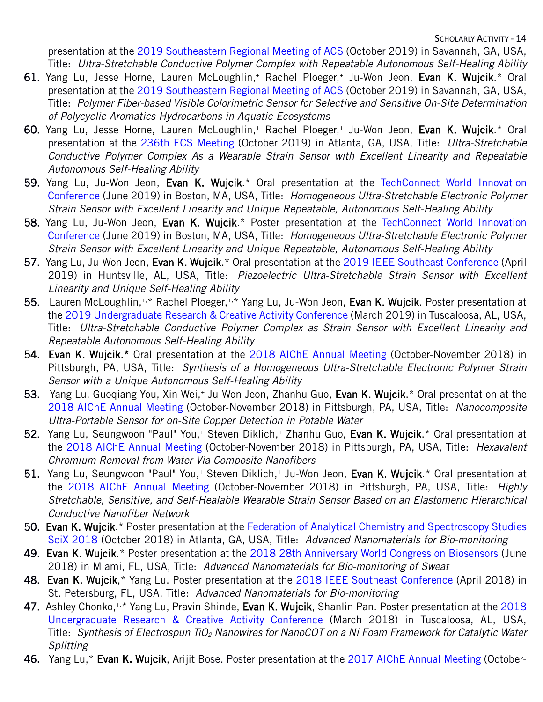presentation at the 2019 Southeastern Regional Meeting of ACS (October 2019) in Savannah, GA, USA, Title: *Ultra-Stretchable Conductive Polymer Complex with Repeatable Autonomous Self-Healing Ability*

- 61. Yang Lu, Jesse Horne, Lauren McLoughlin,<sup>+</sup> Rachel Ploeger,<sup>+</sup> Ju-Won Jeon, Evan K. Wujcik.\* Oral presentation at the 2019 Southeastern Regional Meeting of ACS (October 2019) in Savannah, GA, USA, Title: *Polymer Fiber-based Visible Colorimetric Sensor for Selective and Sensitive On-Site Determination of Polycyclic Aromatics Hydrocarbons in Aquatic Ecosystems*
- 60. Yang Lu, Jesse Horne, Lauren McLoughlin,+ Rachel Ploeger,+ Ju-Won Jeon, Evan K. Wujcik.\* Oral presentation at the 236th ECS Meeting (October 2019) in Atlanta, GA, USA, Title: *Ultra-Stretchable Conductive Polymer Complex As a Wearable Strain Sensor with Excellent Linearity and Repeatable Autonomous Self-Healing Ability*
- 59. Yang Lu, Ju-Won Jeon, Evan K. Wujcik.\* Oral presentation at the TechConnect World Innovation Conference (June 2019) in Boston, MA, USA, Title: *Homogeneous Ultra-Stretchable Electronic Polymer Strain Sensor with Excellent Linearity and Unique Repeatable, Autonomous Self-Healing Ability*
- 58. Yang Lu, Ju-Won Jeon, Evan K. Wujcik.\* Poster presentation at the TechConnect World Innovation Conference (June 2019) in Boston, MA, USA, Title: *Homogeneous Ultra-Stretchable Electronic Polymer Strain Sensor with Excellent Linearity and Unique Repeatable, Autonomous Self-Healing Ability*
- 57. Yang Lu, Ju-Won Jeon, Evan K. Wujcik.\* Oral presentation at the 2019 IEEE Southeast Conference (April 2019) in Huntsville, AL, USA, Title: *Piezoelectric Ultra-Stretchable Strain Sensor with Excellent Linearity and Unique Self-Healing Ability*
- 55. Lauren McLoughlin,<sup>+,\*</sup> Rachel Ploeger,<sup>+,\*</sup> Yang Lu, Ju-Won Jeon, Evan K. Wujcik. Poster presentation at the 2019 Undergraduate Research & Creative Activity Conference (March 2019) in Tuscaloosa, AL, USA, Title: *Ultra-Stretchable Conductive Polymer Complex as Strain Sensor with Excellent Linearity and Repeatable Autonomous Self-Healing Ability*
- 54. Evan K. Wujcik.\* Oral presentation at the 2018 AIChE Annual Meeting (October-November 2018) in Pittsburgh, PA, USA, Title: *Synthesis of a Homogeneous Ultra-Stretchable Electronic Polymer Strain Sensor with a Unique Autonomous Self-Healing Ability*
- 53. Yang Lu, Guoqiang You, Xin Wei,<sup>+</sup> Ju-Won Jeon, Zhanhu Guo, Evan K. Wujcik.\* Oral presentation at the 2018 AIChE Annual Meeting (October-November 2018) in Pittsburgh, PA, USA, Title: *Nanocomposite Ultra-Portable Sensor for on-Site Copper Detection in Potable Water*
- 52. Yang Lu, Seungwoon "Paul" You,<sup>+</sup> Steven Diklich,<sup>+</sup> Zhanhu Guo, Evan K. Wujcik.\* Oral presentation at the 2018 AIChE Annual Meeting (October-November 2018) in Pittsburgh, PA, USA, Title: *Hexavalent Chromium Removal from Water Via Composite Nanofibers*
- 51. Yang Lu, Seungwoon "Paul" You,<sup>+</sup> Steven Diklich,<sup>+</sup> Ju-Won Jeon, Evan K. Wujcik.\* Oral presentation at the 2018 AIChE Annual Meeting (October-November 2018) in Pittsburgh, PA, USA, Title: *Highly Stretchable, Sensitive, and Self-Healable Wearable Strain Sensor Based on an Elastomeric Hierarchical Conductive Nanofiber Network*
- 50. Evan K. Wujcik.\* Poster presentation at the Federation of Analytical Chemistry and Spectroscopy Studies SciX 2018 (October 2018) in Atlanta, GA, USA, Title: *Advanced Nanomaterials for Bio-monitoring*
- 49. Evan K. Wujcik.\* Poster presentation at the 2018 28th Anniversary World Congress on Biosensors (June 2018) in Miami, FL, USA, Title: *Advanced Nanomaterials for Bio-monitoring of Sweat*
- 48. Evan K. Wujcik,\* Yang Lu. Poster presentation at the 2018 IEEE Southeast Conference (April 2018) in St. Petersburg, FL, USA, Title: *Advanced Nanomaterials for Bio-monitoring*
- 47. Ashley Chonko, $^{*,*}$  Yang Lu, Pravin Shinde, Evan K. Wujcik, Shanlin Pan. Poster presentation at the 2018 Undergraduate Research & Creative Activity Conference (March 2018) in Tuscaloosa, AL, USA, Title: *Synthesis of Electrospun TiO2 Nanowires for NanoCOT on a Ni Foam Framework for Catalytic Water Splitting*
- 46. Yang Lu,\* Evan K. Wujcik, Arijit Bose. Poster presentation at the 2017 AIChE Annual Meeting (October-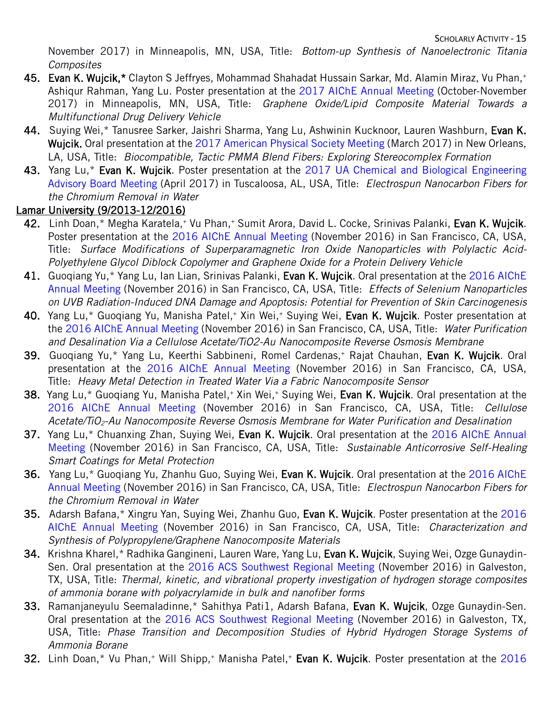November 2017) in Minneapolis, MN, USA, Title: *Bottom-up Synthesis of Nanoelectronic Titania Composites*

- 45. Evan K. Wujcik,\* Clayton S Jeffryes, Mohammad Shahadat Hussain Sarkar, Md. Alamin Miraz, Vu Phan,+ Ashiqur Rahman, Yang Lu. Poster presentation at the 2017 AIChE Annual Meeting (October-November 2017) in Minneapolis, MN, USA, Title: *Graphene Oxide/Lipid Composite Material Towards a Multifunctional Drug Delivery Vehicle*
- 44. Suying Wei,\* Tanusree Sarker, Jaishri Sharma, Yang Lu, Ashwinin Kucknoor, Lauren Washburn, Evan K. Wujcik. Oral presentation at the 2017 American Physical Society Meeting (March 2017) in New Orleans, LA, USA, Title: *Biocompatible, Tactic PMMA Blend Fibers: Exploring Stereocomplex Formation*
- 43. Yang Lu,\* Evan K. Wujcik. Poster presentation at the 2017 UA Chemical and Biological Engineering Advisory Board Meeting (April 2017) in Tuscaloosa, AL, USA, Title: *Electrospun Nanocarbon Fibers for the Chromium Removal in Water*

## Lamar University (9/2013-12/2016)

- 42. Linh Doan,\* Megha Karatela,+ Vu Phan,+ Sumit Arora, David L. Cocke, Srinivas Palanki, Evan K. Wujcik. Poster presentation at the 2016 AIChE Annual Meeting (November 2016) in San Francisco, CA, USA, Title: *Surface Modifications of Superparamagnetic Iron Oxide Nanoparticles with Polylactic Acid-Polyethylene Glycol Diblock Copolymer and Graphene Oxide for a Protein Delivery Vehicle*
- 41. Guogiang Yu,\* Yang Lu, Ian Lian, Srinivas Palanki, Evan K. Wujcik. Oral presentation at the 2016 AIChE Annual Meeting (November 2016) in San Francisco, CA, USA, Title: *Effects of Selenium Nanoparticles on UVB Radiation-Induced DNA Damage and Apoptosis: Potential for Prevention of Skin Carcinogenesis*
- 40. Yang Lu,\* Guoqiang Yu, Manisha Patel,+ Xin Wei,+ Suying Wei, Evan K. Wujcik. Poster presentation at the 2016 AIChE Annual Meeting (November 2016) in San Francisco, CA, USA, Title: *Water Purification and Desalination Via a Cellulose Acetate/TiO2-Au Nanocomposite Reverse Osmosis Membrane*
- 39. Guogiang Yu,\* Yang Lu, Keerthi Sabbineni, Romel Cardenas,+ Rajat Chauhan, Evan K. Wujcik. Oral presentation at the 2016 AIChE Annual Meeting (November 2016) in San Francisco, CA, USA, Title: *Heavy Metal Detection in Treated Water Via a Fabric Nanocomposite Sensor*
- 38. Yang Lu,\* Guoqiang Yu, Manisha Patel,+ Xin Wei,+ Suying Wei, Evan K. Wujcik. Oral presentation at the 2016 AIChE Annual Meeting (November 2016) in San Francisco, CA, USA, Title: *Cellulose Acetate/TiO2-Au Nanocomposite Reverse Osmosis Membrane for Water Purification and Desalination*
- 37. Yang Lu,\* Chuanxing Zhan, Suying Wei, Evan K. Wujcik. Oral presentation at the 2016 AIChE Annual Meeting (November 2016) in San Francisco, CA, USA, Title: *Sustainable Anticorrosive Self-Healing Smart Coatings for Metal Protection*
- 36. Yang Lu,\* Guoqiang Yu, Zhanhu Guo, Suying Wei, Evan K. Wujcik. Oral presentation at the 2016 AIChE Annual Meeting (November 2016) in San Francisco, CA, USA, Title: *Electrospun Nanocarbon Fibers for the Chromium Removal in Water*
- 35. Adarsh Bafana,\* Xingru Yan, Suying Wei, Zhanhu Guo, Evan K. Wujcik. Poster presentation at the 2016 AIChE Annual Meeting (November 2016) in San Francisco, CA, USA, Title: *Characterization and Synthesis of Polypropylene/Graphene Nanocomposite Materials*
- 34. Krishna Kharel,\* Radhika Gangineni, Lauren Ware, Yang Lu, Evan K. Wujcik, Suying Wei, Ozge Gunaydin-Sen. Oral presentation at the 2016 ACS Southwest Regional Meeting (November 2016) in Galveston, TX, USA, Title: *Thermal, kinetic, and vibrational property investigation of hydrogen storage composites of ammonia borane with polyacrylamide in bulk and nanofiber forms*
- 33. Ramanjaneyulu Seemaladinne,\* Sahithya Pati1, Adarsh Bafana, Evan K. Wujcik, Ozge Gunaydin-Sen. Oral presentation at the 2016 ACS Southwest Regional Meeting (November 2016) in Galveston, TX, USA, Title: *Phase Transition and Decomposition Studies of Hybrid Hydrogen Storage Systems of Ammonia Borane*
- 32. Linh Doan,\* Vu Phan,+ Will Shipp,+ Manisha Patel,+ Evan K. Wujcik. Poster presentation at the 2016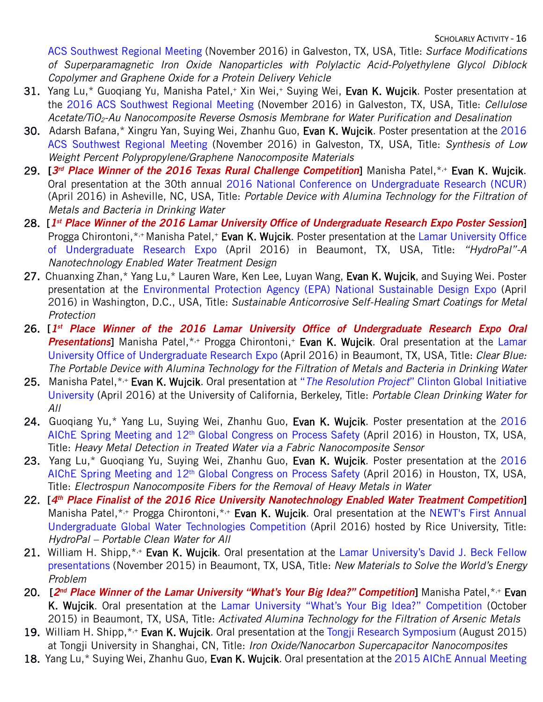ACS Southwest Regional Meeting (November 2016) in Galveston, TX, USA, Title: *Surface Modifications of Superparamagnetic Iron Oxide Nanoparticles with Polylactic Acid-Polyethylene Glycol Diblock Copolymer and Graphene Oxide for a Protein Delivery Vehicle*

- 31. Yang Lu,\* Guogiang Yu, Manisha Patel,+ Xin Wei,+ Suying Wei, Evan K. Wujcik. Poster presentation at the 2016 ACS Southwest Regional Meeting (November 2016) in Galveston, TX, USA, Title: *Cellulose Acetate/TiO2-Au Nanocomposite Reverse Osmosis Membrane for Water Purification and Desalination*
- 30. Adarsh Bafana,\* Xingru Yan, Suying Wei, Zhanhu Guo, Evan K. Wujcik. Poster presentation at the 2016 ACS Southwest Regional Meeting (November 2016) in Galveston, TX, USA, Title: *Synthesis of Low Weight Percent Polypropylene/Graphene Nanocomposite Materials*
- 29. [*3rd Place Winner of the 2016 Texas Rural Challenge Competition*] Manisha Patel,\*,+ Evan K. Wujcik. Oral presentation at the 30th annual 2016 National Conference on Undergraduate Research (NCUR) (April 2016) in Asheville, NC, USA, Title: *Portable Device with Alumina Technology for the Filtration of Metals and Bacteria in Drinking Water*
- 28. [*1st Place Winner of the 2016 Lamar University Office of Undergraduate Research Expo Poster Session*] Progga Chirontoni,\*,+ Manisha Patel,+ Evan K. Wujcik. Poster presentation at the Lamar University Office of Undergraduate Research Expo (April 2016) in Beaumont, TX, USA, Title: *"HydroPal"-A Nanotechnology Enabled Water Treatment Design*
- 27. Chuanxing Zhan,\* Yang Lu,\* Lauren Ware, Ken Lee, Luyan Wang, Evan K. Wujcik, and Suying Wei. Poster presentation at the Environmental Protection Agency (EPA) National Sustainable Design Expo (April 2016) in Washington, D.C., USA, Title: *Sustainable Anticorrosive Self-Healing Smart Coatings for Metal Protection*
- 26. [*1st Place Winner of the 2016 Lamar University Office of Undergraduate Research Expo Oral*  **Presentations**] Manisha Patel,\*,+ Progga Chirontoni,+ **Evan K. Wujcik**. Oral presentation at the Lamar University Office of Undergraduate Research Expo (April 2016) in Beaumont, TX, USA, Title: *Clear Blue: The Portable Device with Alumina Technology for the Filtration of Metals and Bacteria in Drinking Water*
- 25. Manisha Patel,\*,+ Evan K. Wujcik. Oral presentation at "*The Resolution Project*" Clinton Global Initiative University (April 2016) at the University of California, Berkeley, Title: *Portable Clean Drinking Water for All*
- 24. Guoqiang Yu,\* Yang Lu, Suying Wei, Zhanhu Guo, Evan K. Wujcik. Poster presentation at the 2016 AIChE Spring Meeting and 12<sup>th</sup> Global Congress on Process Safety (April 2016) in Houston, TX, USA, Title: *Heavy Metal Detection in Treated Water via a Fabric Nanocomposite Sensor*
- 23. Yang Lu,\* Guogiang Yu, Suying Wei, Zhanhu Guo, Evan K. Wujcik. Poster presentation at the 2016 AIChE Spring Meeting and 12<sup>th</sup> Global Congress on Process Safety (April 2016) in Houston, TX, USA, Title: *Electrospun Nanocomposite Fibers for the Removal of Heavy Metals in Water*
- 22. [*4th Place Finalist of the 2016 Rice University Nanotechnology Enabled Water Treatment Competition*] Manisha Patel, \*,+ Progga Chirontoni, \*,+ Evan K. Wujcik. Oral presentation at the NEWT's First Annual Undergraduate Global Water Technologies Competition (April 2016) hosted by Rice University, Title: *HydroPal – Portable Clean Water for All*
- 21. William H. Shipp,<sup>\*,+</sup> Evan K. Wujcik. Oral presentation at the Lamar University's David J. Beck Fellow presentations (November 2015) in Beaumont, TX, USA, Title: *New Materials to Solve the World's Energy Problem*
- 20. [*2nd Place Winner of the Lamar University "What's Your Big Idea?" Competition*] Manisha Patel,\*,+ Evan K. Wujcik. Oral presentation at the Lamar University "What's Your Big Idea?" Competition (October 2015) in Beaumont, TX, USA, Title: *Activated Alumina Technology for the Filtration of Arsenic Metals*
- 19. William H. Shipp, \*,+ Evan K. Wujcik. Oral presentation at the Tongji Research Symposium (August 2015) at Tongji University in Shanghai, CN, Title: *Iron Oxide/Nanocarbon Supercapacitor Nanocomposites*
- 18. Yang Lu,\* Suying Wei, Zhanhu Guo, Evan K. Wujcik. Oral presentation at the 2015 AIChE Annual Meeting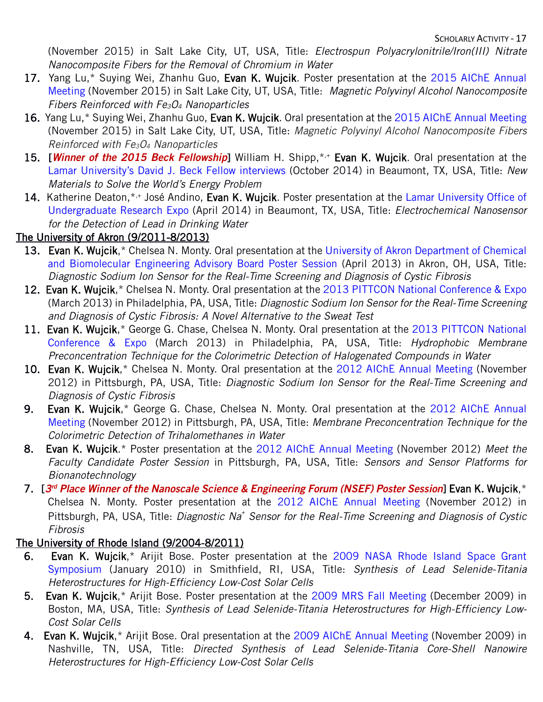(November 2015) in Salt Lake City, UT, USA, Title: *Electrospun Polyacrylonitrile/Iron(III) Nitrate Nanocomposite Fibers for the Removal of Chromium in Water*

- 17. Yang Lu,\* Suying Wei, Zhanhu Guo, Evan K. Wujcik. Poster presentation at the 2015 AIChE Annual Meeting (November 2015) in Salt Lake City, UT, USA, Title: *Magnetic Polyvinyl Alcohol Nanocomposite Fibers Reinforced with Fe3O4 Nanoparticles*
- 16. Yang Lu,\* Suying Wei, Zhanhu Guo, Evan K. Wujcik. Oral presentation at the 2015 AIChE Annual Meeting (November 2015) in Salt Lake City, UT, USA, Title: *Magnetic Polyvinyl Alcohol Nanocomposite Fibers Reinforced with Fe3O4 Nanoparticles*
- 15. [*Winner of the 2015 Beck Fellowship*] William H. Shipp,\*,+ Evan K. Wujcik. Oral presentation at the Lamar University's David J. Beck Fellow interviews (October 2014) in Beaumont, TX, USA, Title: *New Materials to Solve the World's Energy Problem*
- 14. Katherine Deaton, \*,+ José Andino, Evan K. Wujcik. Poster presentation at the Lamar University Office of Undergraduate Research Expo (April 2014) in Beaumont, TX, USA, Title: *Electrochemical Nanosensor for the Detection of Lead in Drinking Water*

## The University of Akron (9/2011-8/2013)

- 13. Evan K. Wujcik,\* Chelsea N. Monty. Oral presentation at the University of Akron Department of Chemical and Biomolecular Engineering Advisory Board Poster Session (April 2013) in Akron, OH, USA, Title: *Diagnostic Sodium Ion Sensor for the Real-Time Screening and Diagnosis of Cystic Fibrosis*
- 12. Evan K. Wujcik,\* Chelsea N. Monty. Oral presentation at the 2013 PITTCON National Conference & Expo (March 2013) in Philadelphia, PA, USA, Title: *Diagnostic Sodium Ion Sensor for the Real-Time Screening and Diagnosis of Cystic Fibrosis: A Novel Alternative to the Sweat Test*
- 11. Evan K. Wujcik,\* George G. Chase, Chelsea N. Monty. Oral presentation at the 2013 PITTCON National Conference & Expo (March 2013) in Philadelphia, PA, USA, Title: *Hydrophobic Membrane Preconcentration Technique for the Colorimetric Detection of Halogenated Compounds in Water*
- 10. Evan K. Wujcik,\* Chelsea N. Monty. Oral presentation at the 2012 AIChE Annual Meeting (November 2012) in Pittsburgh, PA, USA, Title: *Diagnostic Sodium Ion Sensor for the Real-Time Screening and Diagnosis of Cystic Fibrosis*
- 9. Evan K. Wujcik,\* George G. Chase, Chelsea N. Monty. Oral presentation at the 2012 AIChE Annual Meeting (November 2012) in Pittsburgh, PA, USA, Title: *Membrane Preconcentration Technique for the Colorimetric Detection of Trihalomethanes in Water*
- 8. Evan K. Wujcik.\* Poster presentation at the 2012 AIChE Annual Meeting (November 2012) *Meet the Faculty Candidate Poster Session* in Pittsburgh, PA, USA, Title: *Sensors and Sensor Platforms for Bionanotechnology*
- 7. [*3rd Place Winner of the Nanoscale Science & Engineering Forum (NSEF) Poster Session*] Evan K. Wujcik,\* Chelsea N. Monty. Poster presentation at the 2012 AIChE Annual Meeting (November 2012) in Pittsburgh, PA, USA, Title: *Diagnostic Na+ Sensor for the Real-Time Screening and Diagnosis of Cystic Fibrosis*

## The University of Rhode Island (9/2004-8/2011)

- 6. Evan K. Wujcik,\* Arijit Bose. Poster presentation at the 2009 NASA Rhode Island Space Grant Symposium (January 2010) in Smithfield, RI, USA, Title: *Synthesis of Lead Selenide-Titania Heterostructures for High-Efficiency Low-Cost Solar Cells*
- 5. Evan K. Wujcik,\* Arijit Bose. Poster presentation at the 2009 MRS Fall Meeting (December 2009) in Boston, MA, USA, Title: *Synthesis of Lead Selenide-Titania Heterostructures for High-Efficiency Low-Cost Solar Cells*
- 4. Evan K. Wujcik,\* Arijit Bose. Oral presentation at the 2009 AIChE Annual Meeting (November 2009) in Nashville, TN, USA, Title: *Directed Synthesis of Lead Selenide-Titania Core-Shell Nanowire Heterostructures for High-Efficiency Low-Cost Solar Cells*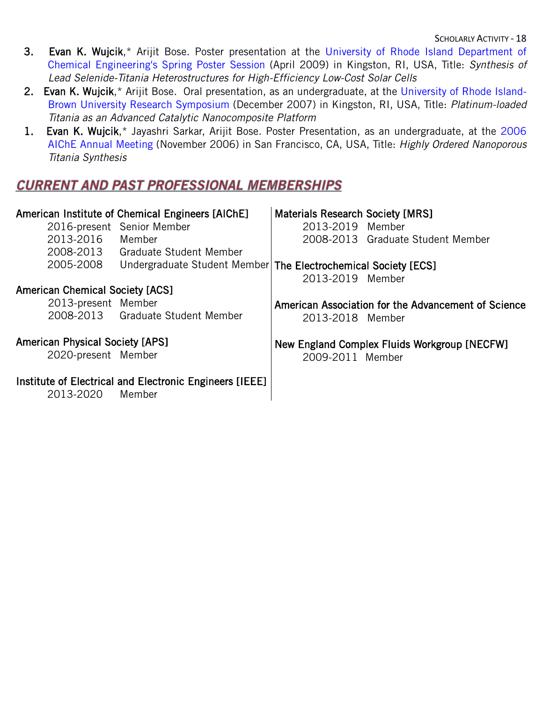- 3. Evan K. Wujcik,\* Arijit Bose. Poster presentation at the University of Rhode Island Department of Chemical Engineering's Spring Poster Session (April 2009) in Kingston, RI, USA, Title: *Synthesis of Lead Selenide-Titania Heterostructures for High-Efficiency Low-Cost Solar Cells*
- 2. Evan K. Wujcik,\* Arijit Bose. Oral presentation, as an undergraduate, at the University of Rhode Island-Brown University Research Symposium (December 2007) in Kingston, RI, USA, Title: *Platinum-loaded Titania as an Advanced Catalytic Nanocomposite Platform*
- 1. Evan K. Wujcik,\* Jayashri Sarkar, Arijit Bose. Poster Presentation, as an undergraduate, at the 2006 AIChE Annual Meeting (November 2006) in San Francisco, CA, USA, Title: *Highly Ordered Nanoporous Titania Synthesis*

## **CURRENT AND PAST PROFESSIONAL MEMBERSHIPS**

| American Institute of Chemical Engineers [AIChE] |                                                                   | <b>Materials Research Society [MRS]</b> |                                                     |
|--------------------------------------------------|-------------------------------------------------------------------|-----------------------------------------|-----------------------------------------------------|
|                                                  | 2016-present Senior Member                                        | 2013-2019 Member                        |                                                     |
| 2013-2016                                        | Member                                                            |                                         | 2008-2013 Graduate Student Member                   |
|                                                  | 2008-2013 Graduate Student Member                                 |                                         |                                                     |
| 2005-2008                                        | Undergraduate Student Member   The Electrochemical Society [ECS]  |                                         |                                                     |
|                                                  |                                                                   | 2013-2019 Member                        |                                                     |
| <b>American Chemical Society [ACS]</b>           |                                                                   |                                         |                                                     |
| 2013-present Member                              |                                                                   |                                         | American Association for the Advancement of Science |
|                                                  | 2008-2013 Graduate Student Member                                 | 2013-2018 Member                        |                                                     |
| <b>American Physical Society [APS]</b>           |                                                                   |                                         | New England Complex Fluids Workgroup [NECFW]        |
| 2020-present Member                              |                                                                   | 2009-2011 Member                        |                                                     |
| 2013-2020                                        | Institute of Electrical and Electronic Engineers [IEEE]<br>Member |                                         |                                                     |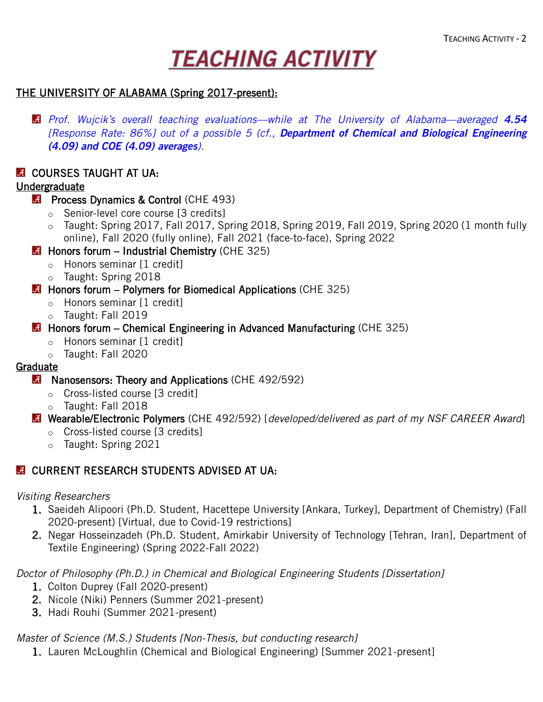# **TEACHING ACTIVITY**

## THE UNIVERSITY OF ALABAMA (Spring 2017-present):

*Prof. Wujcik's overall teaching evaluations—while at The University of Alabama—averaged 4.54 [Response Rate: 86%] out of a possible 5 (cf., Department of Chemical and Biological Engineering (4.09) and COE (4.09) averages).*

## **A COURSES TAUGHT AT UA:**

## Undergraduate

### **[Process Dynamics & Control](http://meanlab.weebly.com/momentum-transport-chen3311.html) (CHE 493)**

- o Senior-level core course [3 credits]
- o Taught: Spring 2017, Fall 2017, Spring 2018, Spring 2019, Fall 2019, Spring 2020 (1 month fully online), Fall 2020 (fully online), Fall 2021 (face-to-face), Spring 2022
- $\blacksquare$  [Honors forum Industrial Chemistry](http://meanlab.weebly.com/momentum-transport-chen3311.html) [\(CHE 325\)](http://meanlab.weebly.com/momentum-transport-chen3311.html)
	- o Honors seminar [1 credit]
	- o Taught: Spring 2018
- $\blacksquare$  Honors forum Polymers for Biomedical Applications (CHE 325)
	- o Honors seminar [1 credit]
	- o Taught: Fall 2019
- **Honors forum Chemical Engineering in Advanced Manufacturing (CHE 325)** 
	- o Honors seminar [1 credit]
	- o Taught: Fall 2020

### Graduate

- **M** Nanosensors: Theory and Applications (CHE 492/592)
	- o Cross-listed course [3 credit]
	- o Taught: Fall 2018
- Wearable/Electronic Polymers (CHE 492/592) [*developed/delivered as part of my NSF CAREER Award*]
	- o Cross-listed course [3 credits]
	- o Taught: Spring 2021

## **E** CURRENT RESEARCH STUDENTS ADVISED AT UA:

### *Visiting Researchers*

- 1. Saeideh Alipoori (Ph.D. Student, Hacettepe University [Ankara, Turkey], Department of Chemistry) (Fall 2020-present) [Virtual, due to Covid-19 restrictions]
- 2. Negar Hosseinzadeh (Ph.D. Student, Amirkabir University of Technology [Tehran, Iran], Department of Textile Engineering) (Spring 2022-Fall 2022)

*Doctor of Philosophy (Ph.D.) in Chemical and Biological Engineering Students [Dissertation]*

- 1. Colton Duprey (Fall 2020-present)
- 2. Nicole (Niki) Penners (Summer 2021-present)
- 3. Hadi Rouhi (Summer 2021-present)

*Master of Science (M.S.) Students [Non-Thesis, but conducting research]*

1. Lauren McLoughlin (Chemical and Biological Engineering) [Summer 2021-present]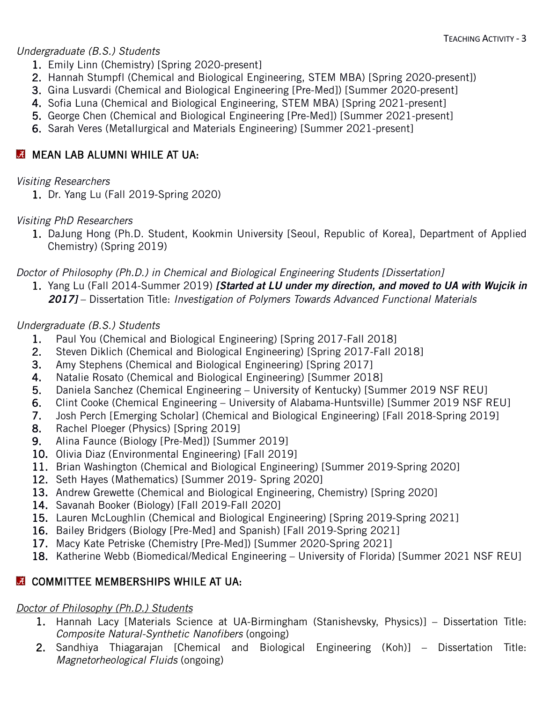### *Undergraduate (B.S.) Students*

- 1. Emily Linn (Chemistry) [Spring 2020-present]
- 2. Hannah Stumpfl (Chemical and Biological Engineering, STEM MBA) [Spring 2020-present])
- 3. Gina Lusvardi (Chemical and Biological Engineering [Pre-Med]) [Summer 2020-present]
- 4. Sofia Luna (Chemical and Biological Engineering, STEM MBA) [Spring 2021-present]
- 5. George Chen (Chemical and Biological Engineering [Pre-Med]) [Summer 2021-present]
- 6. Sarah Veres (Metallurgical and Materials Engineering) [Summer 2021-present]

## **MEAN LAB ALUMNI WHILE AT UA:**

## *Visiting Researchers*

1. Dr. Yang Lu (Fall 2019-Spring 2020)

## *Visiting PhD Researchers*

1. DaJung Hong (Ph.D. Student, Kookmin University [Seoul, Republic of Korea], Department of Applied Chemistry) (Spring 2019)

*Doctor of Philosophy (Ph.D.) in Chemical and Biological Engineering Students [Dissertation]*

1. Yang Lu (Fall 2014-Summer 2019) *[Started at LU under my direction, and moved to UA with Wujcik in 2017]* – Dissertation Title: *Investigation of Polymers Towards Advanced Functional Materials*

## *Undergraduate (B.S.) Students*

- 1. Paul You (Chemical and Biological Engineering) [Spring 2017-Fall 2018]
- 2. Steven Diklich (Chemical and Biological Engineering) [Spring 2017-Fall 2018]
- 3. Amy Stephens (Chemical and Biological Engineering) [Spring 2017]
- 4. Natalie Rosato (Chemical and Biological Engineering) [Summer 2018]
- 5. Daniela Sanchez (Chemical Engineering University of Kentucky) [Summer 2019 NSF REU]
- 6. Clint Cooke (Chemical Engineering University of Alabama-Huntsville) [Summer 2019 NSF REU]
- 7. Josh Perch [Emerging Scholar] (Chemical and Biological Engineering) [Fall 2018-Spring 2019]
- 8. Rachel Ploeger (Physics) [Spring 2019]
- 9. Alina Faunce (Biology [Pre-Med]) [Summer 2019]
- 10. Olivia Diaz (Environmental Engineering) [Fall 2019]
- 11. Brian Washington (Chemical and Biological Engineering) [Summer 2019-Spring 2020]
- 12. Seth Hayes (Mathematics) [Summer 2019- Spring 2020]
- 13. Andrew Grewette (Chemical and Biological Engineering, Chemistry) [Spring 2020]
- 14. Savanah Booker (Biology) [Fall 2019-Fall 2020]
- 15. Lauren McLoughlin (Chemical and Biological Engineering) [Spring 2019-Spring 2021]
- 16. Bailey Bridgers (Biology [Pre-Med] and Spanish) [Fall 2019-Spring 2021]
- 17. Macy Kate Petriske (Chemistry [Pre-Med]) [Summer 2020-Spring 2021]
- 18. Katherine Webb (Biomedical/Medical Engineering University of Florida) [Summer 2021 NSF REU]

## **COMMITTEE MEMBERSHIPS WHILE AT UA:**

## *Doctor of Philosophy (Ph.D.) Students*

- 1. Hannah Lacy [Materials Science at UA-Birmingham (Stanishevsky, Physics)] Dissertation Title: *Composite Natural-Synthetic Nanofibers* (ongoing)
- 2. Sandhiya Thiagarajan [Chemical and Biological Engineering (Koh)] Dissertation Title: *Magnetorheological Fluids* (ongoing)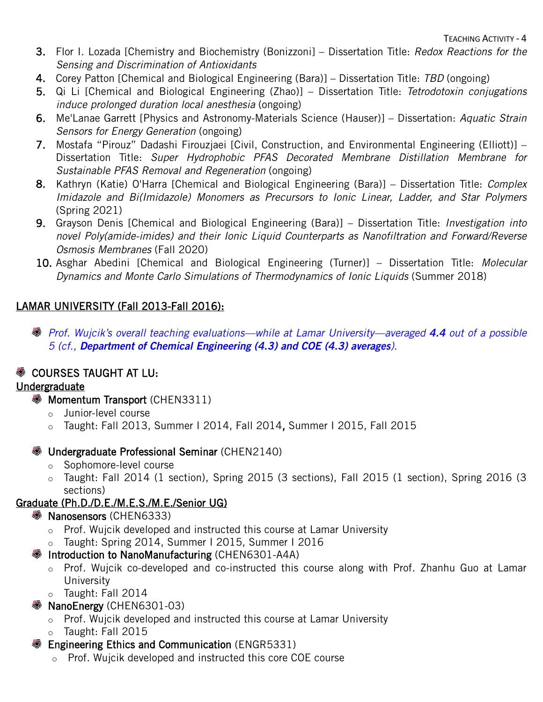TEACHING ACTIVITY - 4

- 3. Flor I. Lozada [Chemistry and Biochemistry (Bonizzoni] Dissertation Title: *Redox Reactions for the Sensing and Discrimination of Antioxidants*
- 4. Corey Patton [Chemical and Biological Engineering (Bara)] Dissertation Title: *TBD* (ongoing)
- 5. Qi Li [Chemical and Biological Engineering (Zhao)] Dissertation Title: *Tetrodotoxin conjugations induce prolonged duration local anesthesia* (ongoing)
- 6. Me'Lanae Garrett [Physics and Astronomy-Materials Science (Hauser)] Dissertation: *Aquatic Strain Sensors for Energy Generation* (ongoing)
- 7. Mostafa "Pirouz" Dadashi Firouzjaei [Civil, Construction, and Environmental Engineering (Elliott)] Dissertation Title: *Super Hydrophobic PFAS Decorated Membrane Distillation Membrane for Sustainable PFAS Removal and Regeneration* (ongoing)
- 8. Kathryn (Katie) O'Harra [Chemical and Biological Engineering (Bara)] Dissertation Title: *Complex Imidazole and Bi(Imidazole) Monomers as Precursors to Ionic Linear, Ladder, and Star Polymers*  (Spring 2021)
- 9. Grayson Denis [Chemical and Biological Engineering (Bara)] Dissertation Title: *Investigation into novel Poly(amide-imides) and their Ionic Liquid Counterparts as Nanofiltration and Forward/Reverse Osmosis Membranes* (Fall 2020)
- 10. Asghar Abedini [Chemical and Biological Engineering (Turner)] Dissertation Title: *Molecular Dynamics and Monte Carlo Simulations of Thermodynamics of Ionic Liquids* (Summer 2018)

## LAMAR UNIVERSITY (Fall 2013-Fall 2016):

*Prof. Wujcik's overall teaching evaluations—while at Lamar University—averaged 4.4 out of a possible 5 (cf., Department of Chemical Engineering (4.3) and COE (4.3) averages)*.

## **<sup>▒</sup> COURSES TAUGHT AT LU:**

## Undergraduate

- **[Momentum Transport](http://meanlab.weebly.com/momentum-transport-chen3311.html) [\(CHEN3311\)](http://meanlab.weebly.com/momentum-transport-chen3311.html)** 
	- o Junior-level course
	- o Taught: Fall 2013, Summer I 2014, Fall 2014, Summer I 2015, Fall 2015

## **W** [Undergraduate Professional Seminar](http://meanlab.weebly.com/undergraduate-professional-seminar-chen2140.html) [\(CHEN2140\)](http://meanlab.weebly.com/undergraduate-professional-seminar-chen2140.html)

- o Sophomore-level course
- o Taught: Fall 2014 (1 section), Spring 2015 (3 sections), Fall 2015 (1 section), Spring 2016 (3 sections)

## Graduate (Ph.D./D.E./M.E.S./M.E./Senior UG)

## **S** [Nanosensors \(CHEN6333\)](http://meanlab.weebly.com/nanosensors-chen6301.html)

- o [Prof. Wujcik developed and instructed this course](http://meanlab.weebly.com/nanosensors-chen6301.html) at Lamar University
- o [Taught: Spring 2014,](http://meanlab.weebly.com/nanosensors-chen6301.html) Summer I 2015, Summer I 2016

## **S** Introduction to NanoManufacturing (CHEN6301-A4A)

- o Prof. Wujcik co-developed and co-instructed this course along with Prof. Zhanhu Guo at Lamar University
- o Taught: Fall 2014
- **S** NanoEnergy (CHEN6301-03)
	- o Prof. Wujcik developed and instructed this course at Lamar University
	- o Taught: Fall 2015
- **Engineering Ethics and Communication (ENGR5331)** 
	- o Prof. Wujcik developed and instructed this core COE course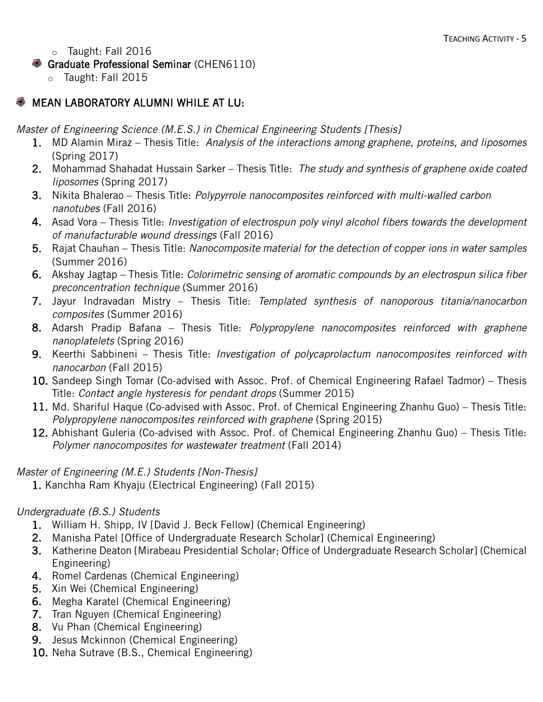- o Taught: Fall 2016
- Graduate Professional Seminar (CHEN6110)
	- o Taught: Fall 2015

## **SSUIME MEAN LABORATORY ALUMNI WHILE AT LU:**

*Master of Engineering Science (M.E.S.) in Chemical Engineering Students [Thesis]*

- 1. MD Alamin Miraz Thesis Title: *Analysis of the interactions among graphene, proteins, and liposomes* (Spring 2017)
- 2. Mohammad Shahadat Hussain Sarker Thesis Title: *The study and synthesis of graphene oxide coated liposomes* (Spring 2017)
- 3. Nikita Bhalerao Thesis Title: *Polypyrrole nanocomposites reinforced with multi-walled carbon nanotubes* (Fall 2016)
- 4. Asad Vora Thesis Title: *Investigation of electrospun poly vinyl alcohol fibers towards the development of manufacturable wound dressings* (Fall 2016)
- 5. Rajat Chauhan Thesis Title: *Nanocomposite material for the detection of copper ions in water samples* (Summer 2016)
- 6. Akshay Jagtap Thesis Title: *Colorimetric sensing of aromatic compounds by an electrospun silica fiber preconcentration technique* (Summer 2016)
- 7. Jayur Indravadan Mistry Thesis Title: *Templated synthesis of nanoporous titania/nanocarbon composites* (Summer 2016)
- 8. Adarsh Pradip Bafana Thesis Title: *Polypropylene nanocomposites reinforced with graphene nanoplatelets* (Spring 2016)
- 9. Keerthi Sabbineni Thesis Title: *Investigation of polycaprolactum nanocomposites reinforced with nanocarbon* (Fall 2015)
- 10. Sandeep Singh Tomar (Co-advised with Assoc. Prof. of Chemical Engineering Rafael Tadmor) Thesis Title: *Contact angle hysteresis for pendant drops* (Summer 2015)
- 11. Md. Shariful Haque (Co-advised with Assoc. Prof. of Chemical Engineering Zhanhu Guo) Thesis Title: *Polypropylene nanocomposites reinforced with graphene* (Spring 2015)
- 12. Abhishant Guleria (Co-advised with Assoc. Prof. of Chemical Engineering Zhanhu Guo) Thesis Title: *Polymer nanocomposites for wastewater treatment* (Fall 2014)

*Master of Engineering (M.E.) Students [Non-Thesis]*

1. Kanchha Ram Khyaju (Electrical Engineering) (Fall 2015)

## *Undergraduate (B.S.) Students*

- 1. William H. Shipp, IV [David J. [Beck Fellow\]](http://students.lamar.edu/academic-support/beck-fellowships.html) (Chemical Engineering)
- 2. Manisha Patel [Office of Undergraduate Research Scholar] (Chemical Engineering)
- 3. Katherine Deaton [Mirabeau Presidential Scholar; Office of Undergraduate Research Scholar] (Chemical Engineering)
- 4. Romel Cardenas (Chemical Engineering)
- 5. Xin Wei (Chemical Engineering)
- 6. Megha Karatel (Chemical Engineering)
- 7. Tran Nguyen (Chemical Engineering)
- 8. Vu Phan (Chemical Engineering)
- 9. Jesus Mckinnon (Chemical Engineering)
- 10. Neha Sutrave (B.S., Chemical Engineering)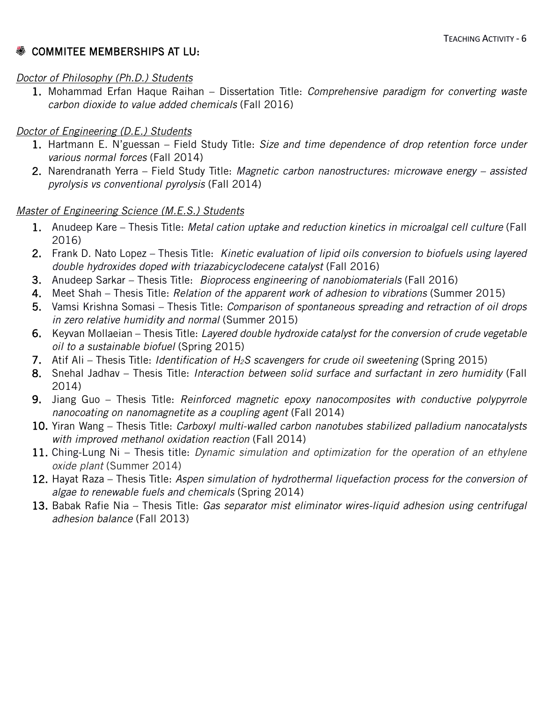## **<sup>▒</sup> COMMITEE MEMBERSHIPS AT LU:**

#### *Doctor of Philosophy (Ph.D.) Students*

1. Mohammad Erfan Haque Raihan – Dissertation Title: *Comprehensive paradigm for converting waste carbon dioxide to value added chemicals* (Fall 2016)

## *Doctor of Engineering (D.E.) Students*

- 1. Hartmann E. N'guessan Field Study Title: *Size and time dependence of drop retention force under various normal forces* (Fall 2014)
- 2. Narendranath Yerra Field Study Title: *Magnetic carbon nanostructures: microwave energy – assisted pyrolysis vs conventional pyrolysis* (Fall 2014)

### *Master of Engineering Science (M.E.S.) Students*

- 1. Anudeep Kare Thesis Title: *Metal cation uptake and reduction kinetics in microalgal cell culture* (Fall 2016)
- 2. Frank D. Nato Lopez Thesis Title: *Kinetic evaluation of lipid oils conversion to biofuels using layered double hydroxides doped with triazabicyclodecene catalyst* (Fall 2016)
- 3. Anudeep Sarkar Thesis Title: *Bioprocess engineering of nanobiomaterials* (Fall 2016)
- 4. Meet Shah Thesis Title: *Relation of the apparent work of adhesion to vibrations* (Summer 2015)
- 5. Vamsi Krishna Somasi Thesis Title: *Comparison of spontaneous spreading and retraction of oil drops in zero relative humidity and normal* (Summer 2015)
- 6. Keyvan Mollaeian Thesis Title: *Layered double hydroxide catalyst for the conversion of crude vegetable oil to a sustainable biofuel* (Spring 2015)
- 7. Atif Ali Thesis Title: *Identification of H2S scavengers for crude oil sweetening* (Spring 2015)
- 8. Snehal Jadhav Thesis Title: *Interaction between solid surface and surfactant in zero humidity* (Fall 2014)
- 9. Jiang Guo Thesis Title: *Reinforced magnetic epoxy nanocomposites with conductive polypyrrole nanocoating on nanomagnetite as a coupling agent* (Fall 2014)
- 10. Yiran Wang Thesis Title: *Carboxyl multi-walled carbon nanotubes stabilized palladium nanocatalysts with improved methanol oxidation reaction* (Fall 2014)
- 11. Ching-Lung Ni Thesis title: *Dynamic simulation and optimization for the operation of an ethylene oxide plant* (Summer 2014)
- 12. Hayat Raza Thesis Title: *Aspen simulation of hydrothermal liquefaction process for the conversion of algae to renewable fuels and chemicals* (Spring 2014)
- 13. Babak Rafie Nia Thesis Title: *Gas separator mist eliminator wires-liquid adhesion using centrifugal adhesion balance* (Fall 2013)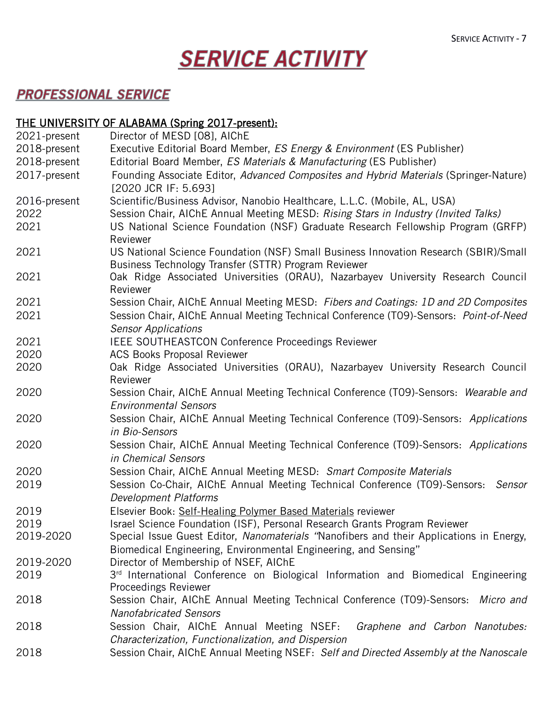# **SERVICE ACTIVITY**

# **PROFESSIONAL SERVICE**

## THE UNIVERSITY OF ALABAMA (Spring 2017-present):

| 2021-present | Director of MESD [08], AIChE                                                            |
|--------------|-----------------------------------------------------------------------------------------|
| 2018-present | Executive Editorial Board Member, ES Energy & Environment (ES Publisher)                |
| 2018-present | Editorial Board Member, ES Materials & Manufacturing (ES Publisher)                     |
| 2017-present | Founding Associate Editor, Advanced Composites and Hybrid Materials (Springer-Nature)   |
|              | [2020 JCR IF: 5.693]                                                                    |
| 2016-present | Scientific/Business Advisor, Nanobio Healthcare, L.L.C. (Mobile, AL, USA)               |
| 2022         | Session Chair, AIChE Annual Meeting MESD: Rising Stars in Industry (Invited Talks)      |
| 2021         | US National Science Foundation (NSF) Graduate Research Fellowship Program (GRFP)        |
|              | Reviewer                                                                                |
| 2021         | US National Science Foundation (NSF) Small Business Innovation Research (SBIR)/Small    |
|              | Business Technology Transfer (STTR) Program Reviewer                                    |
| 2021         | Oak Ridge Associated Universities (ORAU), Nazarbayev University Research Council        |
|              | Reviewer                                                                                |
| 2021         | Session Chair, AIChE Annual Meeting MESD: Fibers and Coatings: 1D and 2D Composites     |
| 2021         | Session Chair, AIChE Annual Meeting Technical Conference (T09)-Sensors: Point-of-Need   |
|              | <b>Sensor Applications</b>                                                              |
| 2021         | IEEE SOUTHEASTCON Conference Proceedings Reviewer                                       |
| 2020         | <b>ACS Books Proposal Reviewer</b>                                                      |
| 2020         | Oak Ridge Associated Universities (ORAU), Nazarbayev University Research Council        |
|              | Reviewer                                                                                |
| 2020         | Session Chair, AIChE Annual Meeting Technical Conference (T09)-Sensors: Wearable and    |
|              | <b>Environmental Sensors</b>                                                            |
| 2020         | Session Chair, AIChE Annual Meeting Technical Conference (TO9)-Sensors: Applications    |
|              | in Bio-Sensors                                                                          |
| 2020         | Session Chair, AIChE Annual Meeting Technical Conference (TO9)-Sensors: Applications    |
|              | in Chemical Sensors                                                                     |
| 2020         | Session Chair, AIChE Annual Meeting MESD: Smart Composite Materials                     |
| 2019         | Session Co-Chair, AIChE Annual Meeting Technical Conference (TO9)-Sensors:<br>Sensor    |
|              | <b>Development Platforms</b>                                                            |
| 2019         | Elsevier Book: Self-Healing Polymer Based Materials reviewer                            |
| 2019         | Israel Science Foundation (ISF), Personal Research Grants Program Reviewer              |
| 2019-2020    | Special Issue Guest Editor, Nanomaterials "Nanofibers and their Applications in Energy, |
|              | Biomedical Engineering, Environmental Engineering, and Sensing"                         |
| 2019-2020    | Director of Membership of NSEF, AIChE                                                   |
| 2019         | 3rd International Conference on Biological Information and Biomedical Engineering       |
|              | <b>Proceedings Reviewer</b>                                                             |
| 2018         | Session Chair, AIChE Annual Meeting Technical Conference (TO9)-Sensors: Micro and       |
|              | <b>Nanofabricated Sensors</b>                                                           |
| 2018         | Session Chair, AIChE Annual Meeting NSEF: Graphene and Carbon Nanotubes:                |
|              | Characterization, Functionalization, and Dispersion                                     |
| 2018         | Session Chair, AIChE Annual Meeting NSEF: Self and Directed Assembly at the Nanoscale   |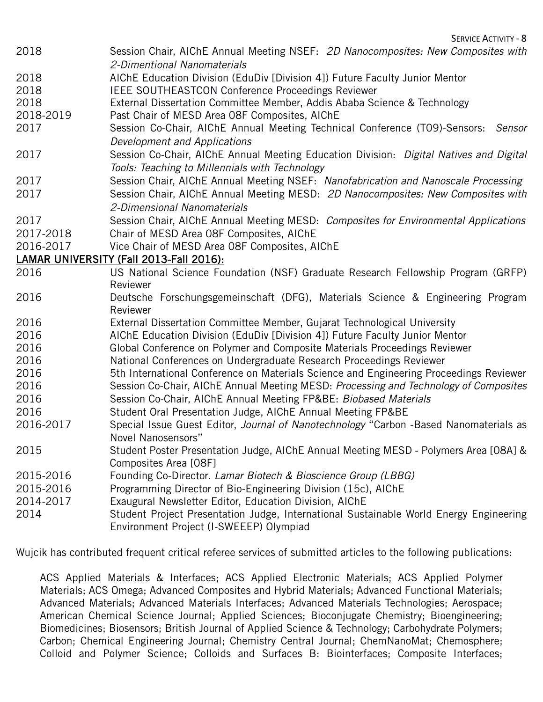| 2018      | Session Chair, AIChE Annual Meeting NSEF: 2D Nanocomposites: New Composites with<br>2-Dimentional Nanomaterials |
|-----------|-----------------------------------------------------------------------------------------------------------------|
| 2018      | AIChE Education Division (EduDiv [Division 4]) Future Faculty Junior Mentor                                     |
| 2018      | <b>IEEE SOUTHEASTCON Conference Proceedings Reviewer</b>                                                        |
| 2018      | External Dissertation Committee Member, Addis Ababa Science & Technology                                        |
| 2018-2019 | Past Chair of MESD Area 08F Composites, AIChE                                                                   |
| 2017      | Session Co-Chair, AIChE Annual Meeting Technical Conference (T09)-Sensors:<br>Sensor                            |
|           | Development and Applications                                                                                    |
| 2017      | Session Co-Chair, AIChE Annual Meeting Education Division: Digital Natives and Digital                          |
|           | Tools: Teaching to Millennials with Technology                                                                  |
| 2017      | Session Chair, AIChE Annual Meeting NSEF: Nanofabrication and Nanoscale Processing                              |
| 2017      | Session Chair, AIChE Annual Meeting MESD: 2D Nanocomposites: New Composites with                                |
|           | 2-Dimensional Nanomaterials                                                                                     |
| 2017      | Session Chair, AIChE Annual Meeting MESD: Composites for Environmental Applications                             |
| 2017-2018 | Chair of MESD Area 08F Composites, AIChE                                                                        |
| 2016-2017 | Vice Chair of MESD Area O8F Composites, AIChE                                                                   |
|           | LAMAR UNIVERSITY (Fall 2013-Fall 2016):                                                                         |
| 2016      | US National Science Foundation (NSF) Graduate Research Fellowship Program (GRFP)                                |
|           | Reviewer                                                                                                        |
| 2016      | Deutsche Forschungsgemeinschaft (DFG), Materials Science & Engineering Program<br>Reviewer                      |
| 2016      | External Dissertation Committee Member, Gujarat Technological University                                        |
| 2016      | AIChE Education Division (EduDiv [Division 4]) Future Faculty Junior Mentor                                     |
| 2016      | Global Conference on Polymer and Composite Materials Proceedings Reviewer                                       |
| 2016      | National Conferences on Undergraduate Research Proceedings Reviewer                                             |
| 2016      | 5th International Conference on Materials Science and Engineering Proceedings Reviewer                          |
| 2016      | Session Co-Chair, AIChE Annual Meeting MESD: Processing and Technology of Composites                            |
| 2016      | Session Co-Chair, AIChE Annual Meeting FP&BE: Biobased Materials                                                |
| 2016      | Student Oral Presentation Judge, AIChE Annual Meeting FP&BE                                                     |
| 2016-2017 | Special Issue Guest Editor, Journal of Nanotechnology "Carbon -Based Nanomaterials as<br>Novel Nanosensors"     |
| 2015      | Student Poster Presentation Judge, AIChE Annual Meeting MESD - Polymers Area [08A] &                            |
|           | Composites Area [08F]                                                                                           |
| 2015-2016 | Founding Co-Director. Lamar Biotech & Bioscience Group (LBBG)                                                   |
| 2015-2016 | Programming Director of Bio-Engineering Division (15c), AIChE                                                   |
| 2014-2017 | Exaugural Newsletter Editor, Education Division, AIChE                                                          |
| 2014      | Student Project Presentation Judge, International Sustainable World Energy Engineering                          |
|           | Environment Project (I-SWEEEP) Olympiad                                                                         |

Wujcik has contributed frequent critical referee services of submitted articles to the following publications:

ACS Applied Materials & Interfaces; ACS Applied Electronic Materials; ACS Applied Polymer Materials; ACS Omega; Advanced Composites and Hybrid Materials; Advanced Functional Materials; Advanced Materials; Advanced Materials Interfaces; Advanced Materials Technologies; Aerospace; American Chemical Science Journal; Applied Sciences; Bioconjugate Chemistry; Bioengineering; Biomedicines; Biosensors; British Journal of Applied Science & Technology; Carbohydrate Polymers; Carbon; Chemical Engineering Journal; Chemistry Central Journal; ChemNanoMat; Chemosphere; Colloid and Polymer Science; Colloids and Surfaces B: Biointerfaces; Composite Interfaces;